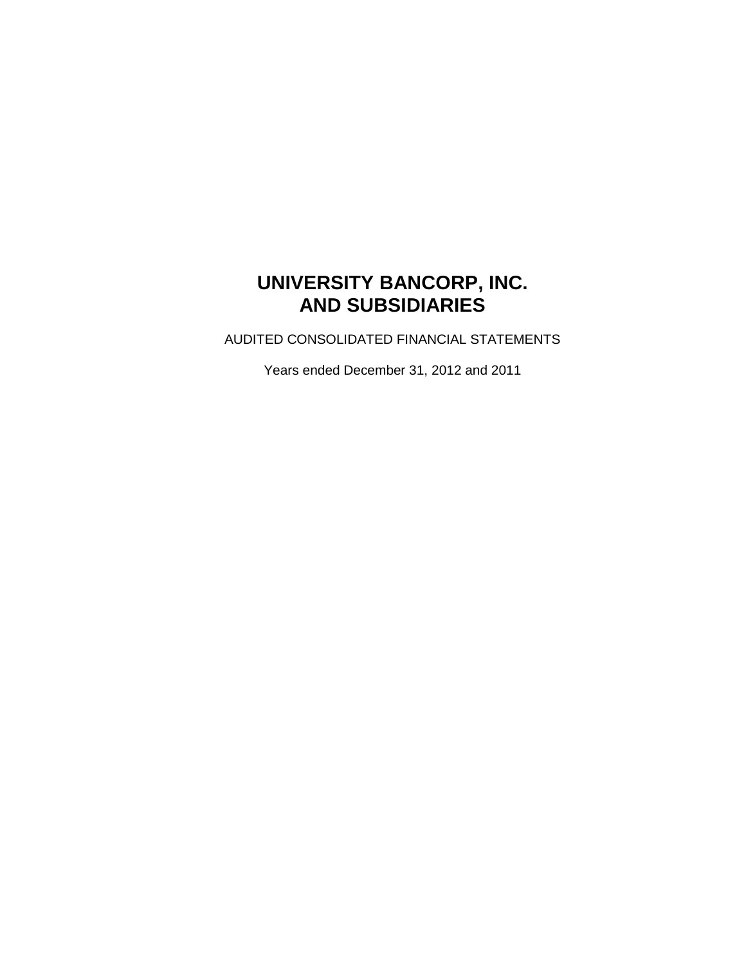# **UNIVERSITY BANCORP, INC. AND SUBSIDIARIES**

AUDITED CONSOLIDATED FINANCIAL STATEMENTS

Years ended December 31, 2012 and 2011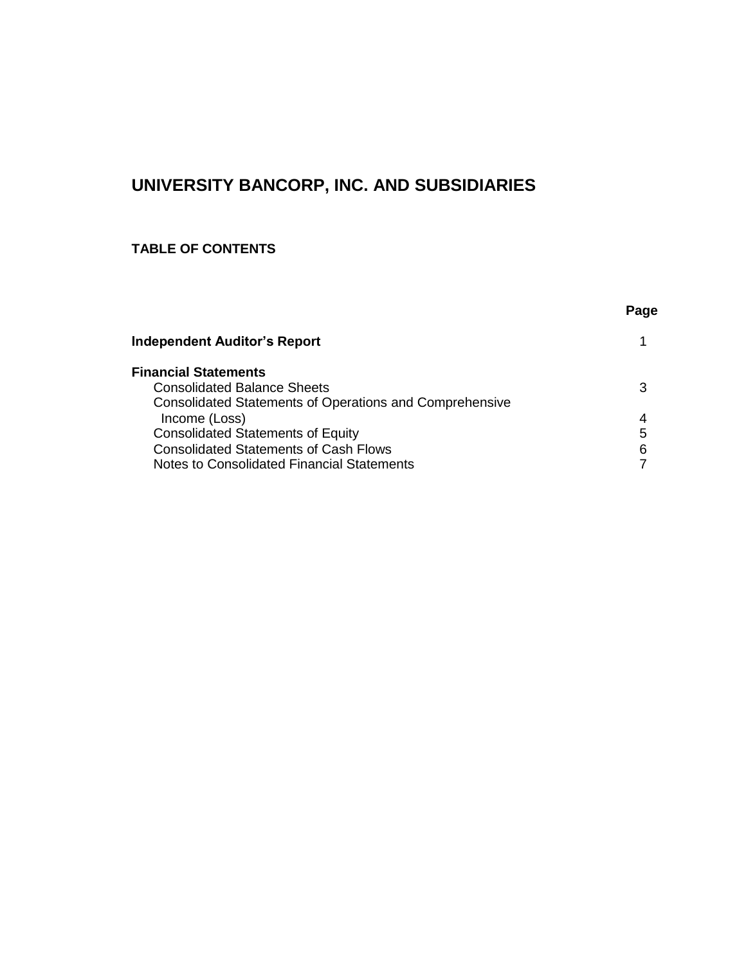# **UNIVERSITY BANCORP, INC. AND SUBSIDIARIES**

# **TABLE OF CONTENTS**

|                                                         | Page |
|---------------------------------------------------------|------|
| <b>Independent Auditor's Report</b>                     |      |
| <b>Financial Statements</b>                             |      |
| <b>Consolidated Balance Sheets</b>                      |      |
| Consolidated Statements of Operations and Comprehensive |      |
| Income (Loss)                                           | 4    |
| <b>Consolidated Statements of Equity</b>                | 5    |
| <b>Consolidated Statements of Cash Flows</b>            | 6    |
| Notes to Consolidated Financial Statements              |      |
|                                                         |      |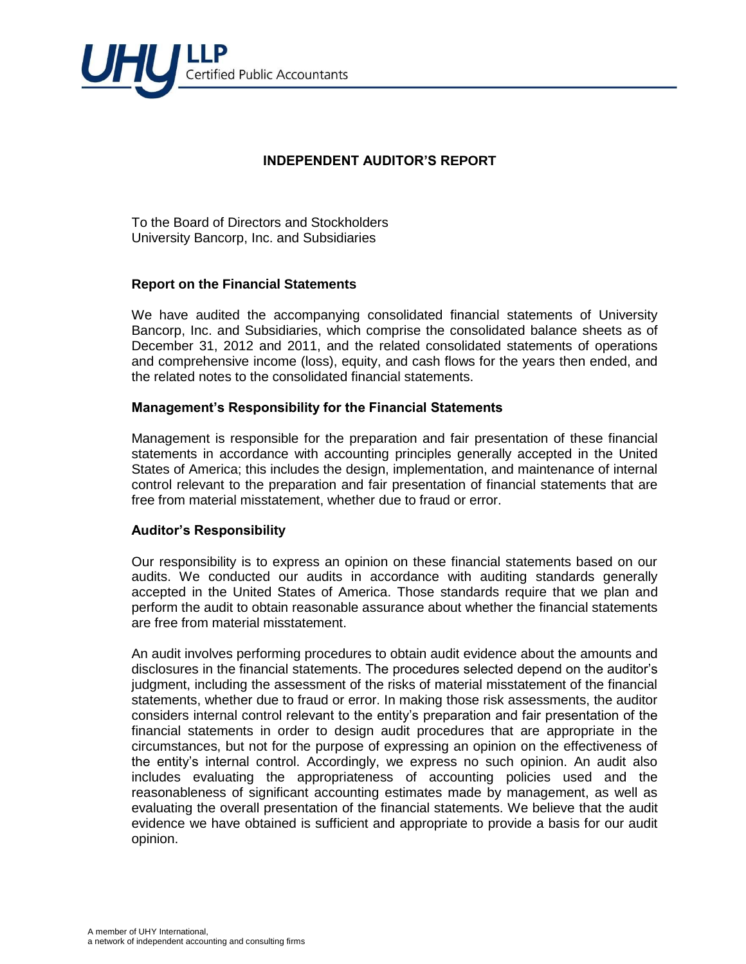

## **INDEPENDENT AUDITOR'S REPORT**

To the Board of Directors and Stockholders University Bancorp, Inc. and Subsidiaries

#### **Report on the Financial Statements**

We have audited the accompanying consolidated financial statements of University Bancorp, Inc. and Subsidiaries, which comprise the consolidated balance sheets as of December 31, 2012 and 2011, and the related consolidated statements of operations and comprehensive income (loss), equity, and cash flows for the years then ended, and the related notes to the consolidated financial statements.

### **Management's Responsibility for the Financial Statements**

Management is responsible for the preparation and fair presentation of these financial statements in accordance with accounting principles generally accepted in the United States of America; this includes the design, implementation, and maintenance of internal control relevant to the preparation and fair presentation of financial statements that are free from material misstatement, whether due to fraud or error.

#### **Auditor's Responsibility**

Our responsibility is to express an opinion on these financial statements based on our audits. We conducted our audits in accordance with auditing standards generally accepted in the United States of America. Those standards require that we plan and perform the audit to obtain reasonable assurance about whether the financial statements are free from material misstatement.

An audit involves performing procedures to obtain audit evidence about the amounts and disclosures in the financial statements. The procedures selected depend on the auditor's judgment, including the assessment of the risks of material misstatement of the financial statements, whether due to fraud or error. In making those risk assessments, the auditor considers internal control relevant to the entity's preparation and fair presentation of the financial statements in order to design audit procedures that are appropriate in the circumstances, but not for the purpose of expressing an opinion on the effectiveness of the entity's internal control. Accordingly, we express no such opinion. An audit also includes evaluating the appropriateness of accounting policies used and the reasonableness of significant accounting estimates made by management, as well as evaluating the overall presentation of the financial statements. We believe that the audit evidence we have obtained is sufficient and appropriate to provide a basis for our audit opinion.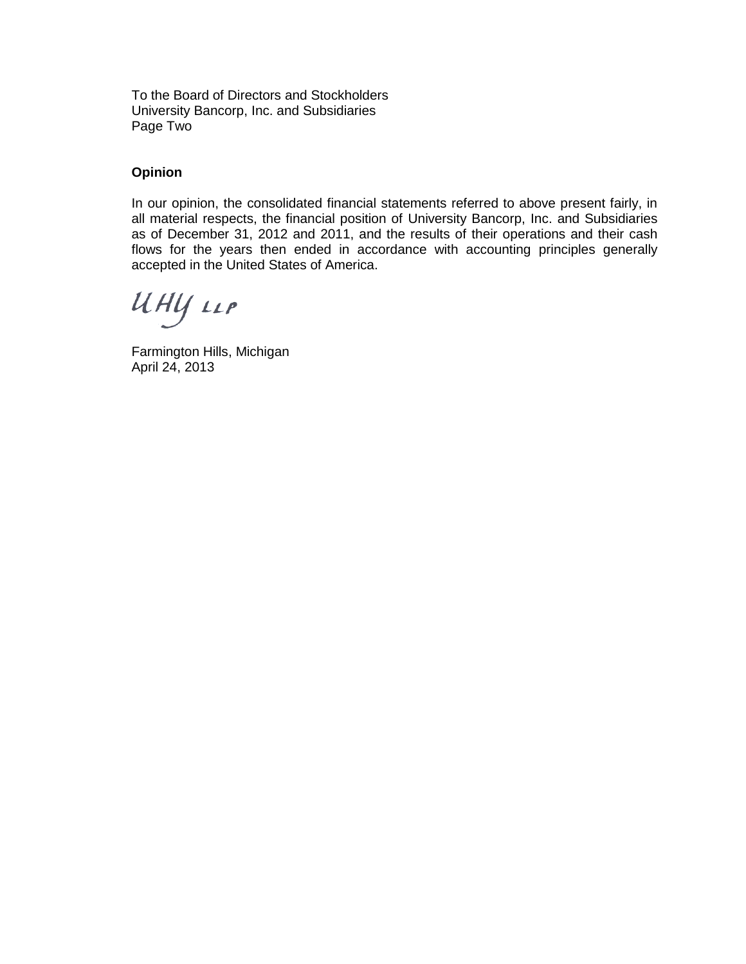To the Board of Directors and Stockholders University Bancorp, Inc. and Subsidiaries Page Two

### **Opinion**

In our opinion, the consolidated financial statements referred to above present fairly, in all material respects, the financial position of University Bancorp, Inc. and Subsidiaries as of December 31, 2012 and 2011, and the results of their operations and their cash flows for the years then ended in accordance with accounting principles generally accepted in the United States of America.

UHY LLP

Farmington Hills, Michigan April 24, 2013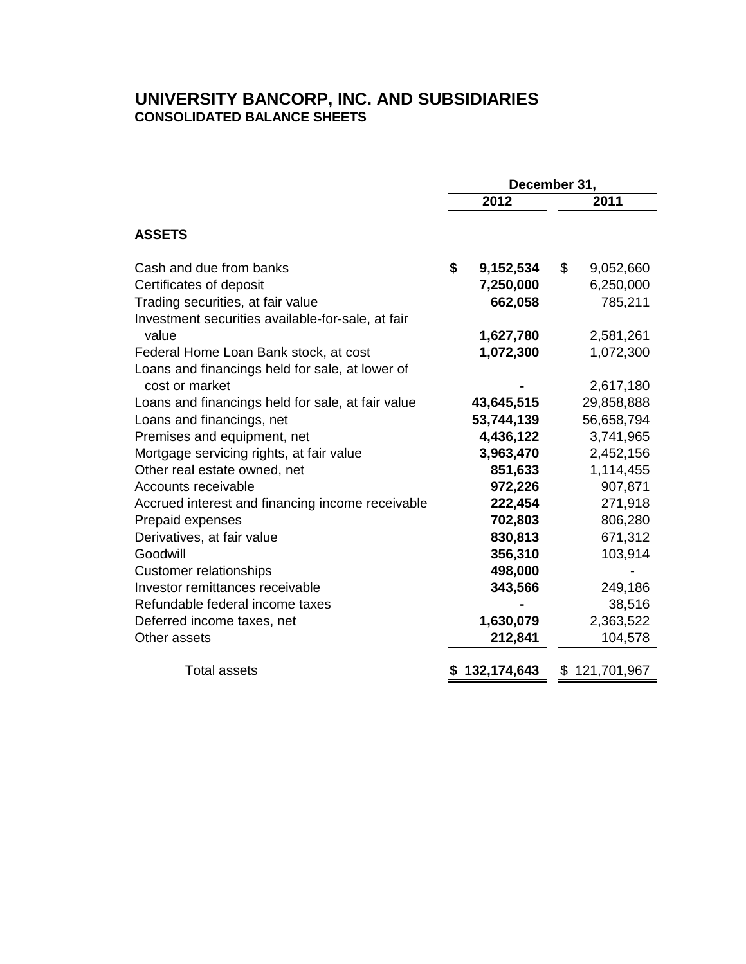# **UNIVERSITY BANCORP, INC. AND SUBSIDIARIES CONSOLIDATED BALANCE SHEETS**

|                                                   | December 31, |             |    |               |  |
|---------------------------------------------------|--------------|-------------|----|---------------|--|
|                                                   |              | 2012        |    | 2011          |  |
| <b>ASSETS</b>                                     |              |             |    |               |  |
| Cash and due from banks                           | \$           | 9,152,534   | \$ | 9,052,660     |  |
| Certificates of deposit                           |              | 7,250,000   |    | 6,250,000     |  |
| Trading securities, at fair value                 |              | 662,058     |    | 785,211       |  |
| Investment securities available-for-sale, at fair |              |             |    |               |  |
| value                                             |              | 1,627,780   |    | 2,581,261     |  |
| Federal Home Loan Bank stock, at cost             |              | 1,072,300   |    | 1,072,300     |  |
| Loans and financings held for sale, at lower of   |              |             |    |               |  |
| cost or market                                    |              |             |    | 2,617,180     |  |
| Loans and financings held for sale, at fair value |              | 43,645,515  |    | 29,858,888    |  |
| Loans and financings, net                         |              | 53,744,139  |    | 56,658,794    |  |
| Premises and equipment, net                       |              | 4,436,122   |    | 3,741,965     |  |
| Mortgage servicing rights, at fair value          |              | 3,963,470   |    | 2,452,156     |  |
| Other real estate owned, net                      |              | 851,633     |    | 1,114,455     |  |
| Accounts receivable                               |              | 972,226     |    | 907,871       |  |
| Accrued interest and financing income receivable  |              | 222,454     |    | 271,918       |  |
| Prepaid expenses                                  |              | 702,803     |    | 806,280       |  |
| Derivatives, at fair value                        |              | 830,813     |    | 671,312       |  |
| Goodwill                                          |              | 356,310     |    | 103,914       |  |
| <b>Customer relationships</b>                     |              | 498,000     |    |               |  |
| Investor remittances receivable                   |              | 343,566     |    | 249,186       |  |
| Refundable federal income taxes                   |              |             |    | 38,516        |  |
| Deferred income taxes, net                        |              | 1,630,079   |    | 2,363,522     |  |
| Other assets                                      |              | 212,841     |    | 104,578       |  |
| <b>Total assets</b>                               | S            | 132,174,643 |    | \$121,701,967 |  |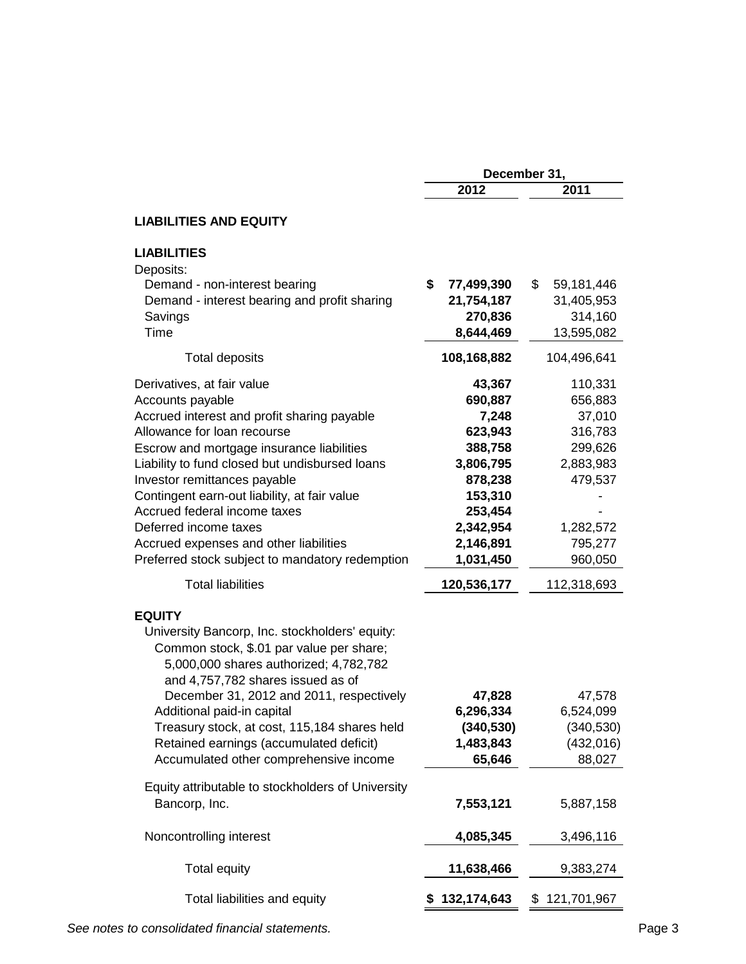|                                                                                                                                                                                                                                        | December 31,     |                  |  |  |  |
|----------------------------------------------------------------------------------------------------------------------------------------------------------------------------------------------------------------------------------------|------------------|------------------|--|--|--|
|                                                                                                                                                                                                                                        | 2012             | 2011             |  |  |  |
| <b>LIABILITIES AND EQUITY</b>                                                                                                                                                                                                          |                  |                  |  |  |  |
| <b>LIABILITIES</b><br>Deposits:                                                                                                                                                                                                        |                  |                  |  |  |  |
| Demand - non-interest bearing                                                                                                                                                                                                          | \$<br>77,499,390 | \$<br>59,181,446 |  |  |  |
| Demand - interest bearing and profit sharing                                                                                                                                                                                           | 21,754,187       | 31,405,953       |  |  |  |
| Savings                                                                                                                                                                                                                                | 270,836          | 314,160          |  |  |  |
| Time                                                                                                                                                                                                                                   | 8,644,469        | 13,595,082       |  |  |  |
| <b>Total deposits</b>                                                                                                                                                                                                                  | 108,168,882      | 104,496,641      |  |  |  |
| Derivatives, at fair value                                                                                                                                                                                                             | 43,367           | 110,331          |  |  |  |
| Accounts payable                                                                                                                                                                                                                       | 690,887          | 656,883          |  |  |  |
| Accrued interest and profit sharing payable                                                                                                                                                                                            | 7,248            | 37,010           |  |  |  |
| Allowance for loan recourse                                                                                                                                                                                                            | 623,943          | 316,783          |  |  |  |
| Escrow and mortgage insurance liabilities                                                                                                                                                                                              | 388,758          | 299,626          |  |  |  |
| Liability to fund closed but undisbursed loans                                                                                                                                                                                         | 3,806,795        | 2,883,983        |  |  |  |
| Investor remittances payable                                                                                                                                                                                                           | 878,238          | 479,537          |  |  |  |
| Contingent earn-out liability, at fair value                                                                                                                                                                                           | 153,310          |                  |  |  |  |
| Accrued federal income taxes                                                                                                                                                                                                           | 253,454          |                  |  |  |  |
| Deferred income taxes                                                                                                                                                                                                                  | 2,342,954        | 1,282,572        |  |  |  |
| Accrued expenses and other liabilities                                                                                                                                                                                                 | 2,146,891        | 795,277          |  |  |  |
| Preferred stock subject to mandatory redemption                                                                                                                                                                                        | 1,031,450        | 960,050          |  |  |  |
| <b>Total liabilities</b>                                                                                                                                                                                                               | 120,536,177      | 112,318,693      |  |  |  |
| <b>EQUITY</b><br>University Bancorp, Inc. stockholders' equity:<br>Common stock, \$.01 par value per share;<br>5,000,000 shares authorized; 4,782,782<br>and 4,757,782 shares issued as of<br>December 31, 2012 and 2011, respectively | 47,828           | 47,578           |  |  |  |
| Additional paid-in capital                                                                                                                                                                                                             | 6,296,334        | 6,524,099        |  |  |  |
| Treasury stock, at cost, 115,184 shares held                                                                                                                                                                                           | (340, 530)       | (340, 530)       |  |  |  |
| Retained earnings (accumulated deficit)                                                                                                                                                                                                | 1,483,843        | (432, 016)       |  |  |  |
| Accumulated other comprehensive income                                                                                                                                                                                                 | 65,646           | 88,027           |  |  |  |
| Equity attributable to stockholders of University<br>Bancorp, Inc.                                                                                                                                                                     | 7,553,121        | 5,887,158        |  |  |  |
| Noncontrolling interest                                                                                                                                                                                                                | 4,085,345        | 3,496,116        |  |  |  |
| <b>Total equity</b>                                                                                                                                                                                                                    | 11,638,466       | 9,383,274        |  |  |  |
| Total liabilities and equity                                                                                                                                                                                                           | \$132,174,643    | \$121,701,967    |  |  |  |

See notes to consolidated financial statements.<br> **See notes to consolidated financial statements.**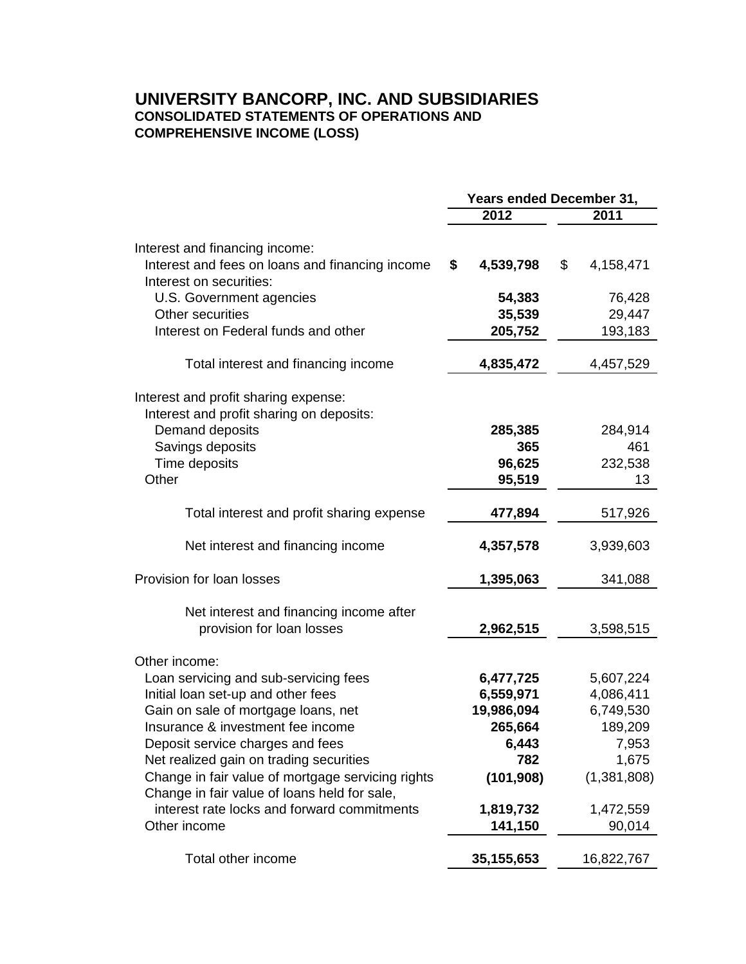# **UNIVERSITY BANCORP, INC. AND SUBSIDIARIES CONSOLIDATED STATEMENTS OF OPERATIONS AND COMPREHENSIVE INCOME (LOSS)**

| <b>Years ended December 31,</b> |                                                                                            |  |  |  |
|---------------------------------|--------------------------------------------------------------------------------------------|--|--|--|
| 2012                            | 2011                                                                                       |  |  |  |
|                                 |                                                                                            |  |  |  |
| \$<br>4,539,798                 | \$<br>4,158,471                                                                            |  |  |  |
|                                 | 76,428                                                                                     |  |  |  |
| 35,539                          | 29,447                                                                                     |  |  |  |
| 205,752                         | 193,183                                                                                    |  |  |  |
| 4,835,472                       | 4,457,529                                                                                  |  |  |  |
|                                 |                                                                                            |  |  |  |
|                                 |                                                                                            |  |  |  |
|                                 | 284,914<br>461                                                                             |  |  |  |
|                                 | 232,538                                                                                    |  |  |  |
|                                 | 13                                                                                         |  |  |  |
|                                 |                                                                                            |  |  |  |
| 477,894                         | 517,926                                                                                    |  |  |  |
| 4,357,578                       | 3,939,603                                                                                  |  |  |  |
| 1,395,063                       | 341,088                                                                                    |  |  |  |
|                                 |                                                                                            |  |  |  |
| 2,962,515                       | 3,598,515                                                                                  |  |  |  |
|                                 |                                                                                            |  |  |  |
|                                 | 5,607,224                                                                                  |  |  |  |
|                                 | 4,086,411                                                                                  |  |  |  |
| 19,986,094                      | 6,749,530                                                                                  |  |  |  |
| 265,664                         | 189,209                                                                                    |  |  |  |
| 6,443                           | 7,953                                                                                      |  |  |  |
|                                 | 1,675                                                                                      |  |  |  |
| (101, 908)                      | (1,381,808)                                                                                |  |  |  |
|                                 | 1,472,559                                                                                  |  |  |  |
| 141,150                         | 90,014                                                                                     |  |  |  |
| 35, 155, 653                    | 16,822,767                                                                                 |  |  |  |
|                                 | 54,383<br>285,385<br>365<br>96,625<br>95,519<br>6,477,725<br>6,559,971<br>782<br>1,819,732 |  |  |  |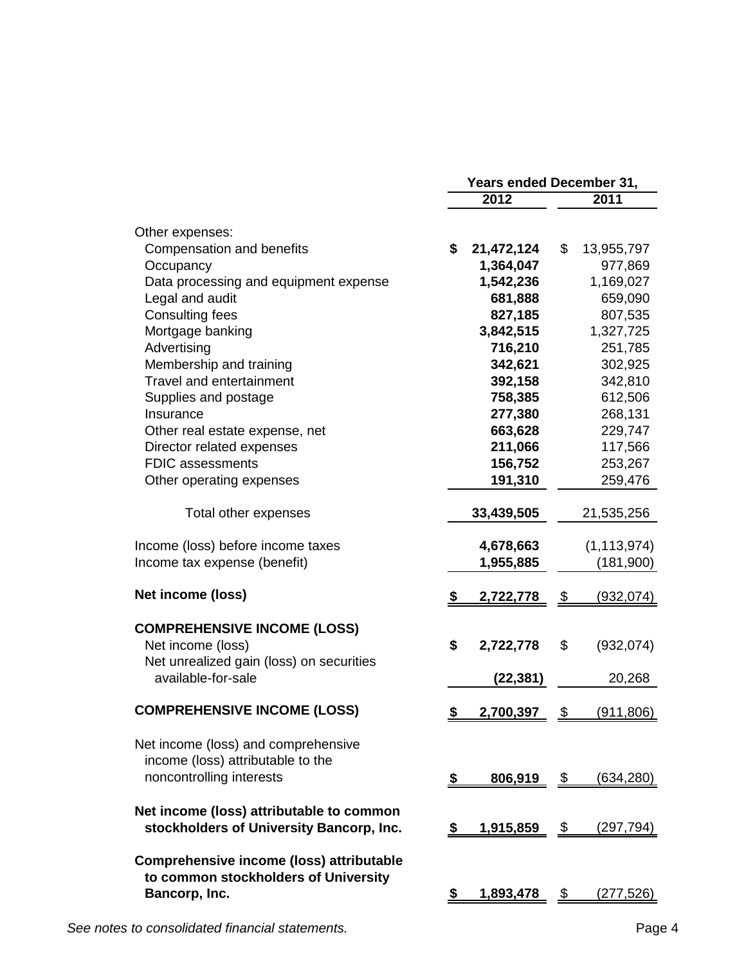|                                                                          | <b>Years ended December 31,</b>                  |                             |  |  |  |
|--------------------------------------------------------------------------|--------------------------------------------------|-----------------------------|--|--|--|
|                                                                          | 2012                                             | 2011                        |  |  |  |
|                                                                          |                                                  |                             |  |  |  |
| Other expenses:                                                          | \$                                               |                             |  |  |  |
| Compensation and benefits                                                | 21,472,124                                       | \$<br>13,955,797            |  |  |  |
| Occupancy                                                                | 1,364,047                                        | 977,869                     |  |  |  |
| Data processing and equipment expense                                    | 1,542,236                                        | 1,169,027                   |  |  |  |
| Legal and audit                                                          | 681,888                                          | 659,090                     |  |  |  |
| <b>Consulting fees</b>                                                   | 827,185                                          | 807,535                     |  |  |  |
| Mortgage banking                                                         | 3,842,515                                        | 1,327,725                   |  |  |  |
| Advertising                                                              | 716,210                                          | 251,785                     |  |  |  |
| Membership and training                                                  | 342,621                                          | 302,925                     |  |  |  |
| <b>Travel and entertainment</b>                                          | 392,158                                          | 342,810                     |  |  |  |
| Supplies and postage                                                     | 758,385                                          | 612,506                     |  |  |  |
| Insurance                                                                | 277,380                                          | 268,131                     |  |  |  |
| Other real estate expense, net                                           | 663,628                                          | 229,747                     |  |  |  |
| Director related expenses                                                | 211,066                                          | 117,566                     |  |  |  |
| <b>FDIC</b> assessments                                                  | 156,752                                          | 253,267                     |  |  |  |
| Other operating expenses                                                 | 191,310                                          | 259,476                     |  |  |  |
| Total other expenses                                                     | 33,439,505                                       | 21,535,256                  |  |  |  |
|                                                                          |                                                  |                             |  |  |  |
| Income (loss) before income taxes                                        | 4,678,663                                        | (1, 113, 974)               |  |  |  |
| Income tax expense (benefit)                                             | 1,955,885                                        | (181,900)                   |  |  |  |
| Net income (loss)                                                        | 2,722,778<br>\$                                  | \$<br>(932, 074)            |  |  |  |
| <b>COMPREHENSIVE INCOME (LOSS)</b>                                       |                                                  |                             |  |  |  |
| Net income (loss)                                                        | \$<br>2,722,778                                  | \$<br>(932, 074)            |  |  |  |
| Net unrealized gain (loss) on securities                                 |                                                  |                             |  |  |  |
| available-for-sale                                                       | (22, 381)                                        | 20,268                      |  |  |  |
|                                                                          |                                                  |                             |  |  |  |
| <b>COMPREHENSIVE INCOME (LOSS)</b>                                       | \$.<br>2,700,397                                 | \$.<br>(911, 806)           |  |  |  |
| Net income (loss) and comprehensive<br>income (loss) attributable to the |                                                  |                             |  |  |  |
| noncontrolling interests                                                 | 806,919<br><u>\$</u>                             | (634, 280)<br>$\mathcal{S}$ |  |  |  |
| Net income (loss) attributable to common                                 |                                                  |                             |  |  |  |
| stockholders of University Bancorp, Inc.                                 | <u>1,915,859</u><br>\$                           | (297, 794)<br>- \$          |  |  |  |
| Comprehensive income (loss) attributable                                 |                                                  |                             |  |  |  |
| to common stockholders of University                                     |                                                  |                             |  |  |  |
| Bancorp, Inc.                                                            | <u>1,893,478  </u><br>$\boldsymbol{\mathcal{P}}$ | (277, 526)<br>$\frac{1}{2}$ |  |  |  |
|                                                                          |                                                  |                             |  |  |  |

See notes to consolidated financial statements.<br> **See notes to consolidated financial statements.**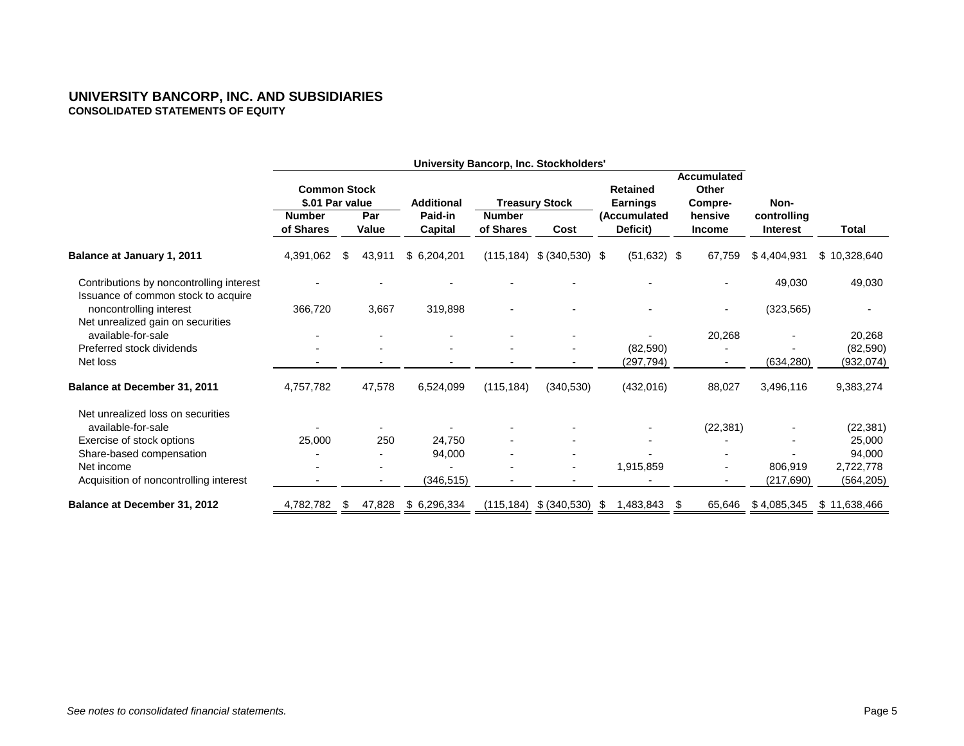#### **UNIVERSITY BANCORP, INC. AND SUBSIDIARIES CONSOLIDATED STATEMENTS OF EQUITY**

|                                                                                 |                                        |     |              |                    |                            | University Bancorp, Inc. Stockholders' |   |                                    |                                        |                                |              |
|---------------------------------------------------------------------------------|----------------------------------------|-----|--------------|--------------------|----------------------------|----------------------------------------|---|------------------------------------|----------------------------------------|--------------------------------|--------------|
|                                                                                 | <b>Common Stock</b><br>\$.01 Par value |     |              | <b>Additional</b>  |                            | <b>Treasury Stock</b>                  |   | <b>Retained</b><br><b>Earnings</b> | <b>Accumulated</b><br>Other<br>Compre- | Non-                           |              |
|                                                                                 | <b>Number</b><br>of Shares             |     | Par<br>Value | Paid-in<br>Capital | <b>Number</b><br>of Shares | Cost                                   |   | (Accumulated<br>Deficit)           | hensive<br><b>Income</b>               | controlling<br><b>Interest</b> | Total        |
| Balance at January 1, 2011                                                      | 4,391,062                              | \$  | 43,911       | \$6,204,201        | (115, 184)                 | \$ (340,530) \$                        |   | $(51, 632)$ \$                     | 67,759                                 | \$4,404,931                    | \$10,328,640 |
| Contributions by noncontrolling interest<br>Issuance of common stock to acquire |                                        |     |              |                    |                            |                                        |   |                                    |                                        | 49,030                         | 49,030       |
| noncontrolling interest<br>Net unrealized gain on securities                    | 366,720                                |     | 3,667        | 319,898            |                            |                                        |   |                                    |                                        | (323, 565)                     |              |
| available-for-sale                                                              |                                        |     |              |                    |                            |                                        |   |                                    | 20,268                                 |                                | 20,268       |
| Preferred stock dividends                                                       |                                        |     |              |                    |                            |                                        |   | (82, 590)                          |                                        |                                | (82, 590)    |
| Net loss                                                                        |                                        |     |              |                    |                            |                                        |   | (297, 794)                         |                                        | (634, 280)                     | (932, 074)   |
| Balance at December 31, 2011                                                    | 4,757,782                              |     | 47,578       | 6,524,099          | (115, 184)                 | (340, 530)                             |   | (432,016)                          | 88,027                                 | 3,496,116                      | 9,383,274    |
| Net unrealized loss on securities                                               |                                        |     |              |                    |                            |                                        |   |                                    |                                        |                                |              |
| available-for-sale                                                              |                                        |     |              |                    |                            |                                        |   |                                    | (22, 381)                              |                                | (22, 381)    |
| Exercise of stock options                                                       | 25,000                                 |     | 250          | 24,750             |                            |                                        |   |                                    |                                        |                                | 25,000       |
| Share-based compensation                                                        |                                        |     |              | 94,000             |                            |                                        |   |                                    |                                        |                                | 94,000       |
| Net income                                                                      |                                        |     |              |                    |                            | $\overline{\phantom{a}}$               |   | 1,915,859                          |                                        | 806,919                        | 2,722,778    |
| Acquisition of noncontrolling interest                                          |                                        |     |              | (346,515)          |                            |                                        |   |                                    |                                        | (217, 690)                     | (564, 205)   |
| <b>Balance at December 31, 2012</b>                                             | 4,782,782                              | \$. | 47,828       | \$6,296,334        | (115, 184)                 | \$ (340,530)                           | S | 1,483,843                          | 65,646<br>-SS                          | \$4,085,345                    | \$11,638,466 |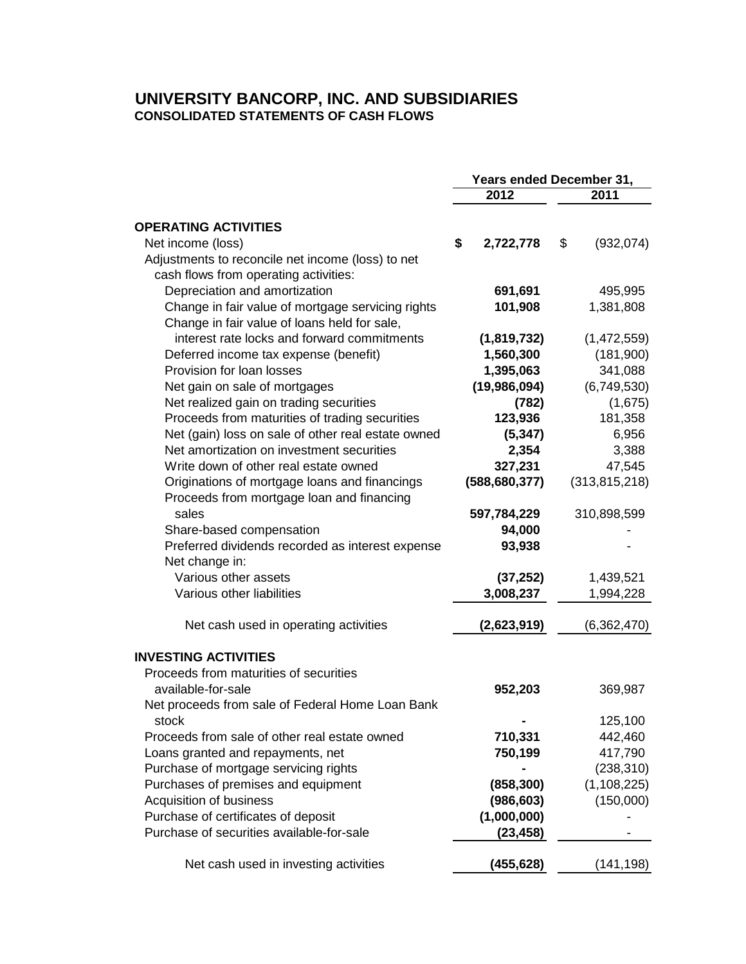# **UNIVERSITY BANCORP, INC. AND SUBSIDIARIES CONSOLIDATED STATEMENTS OF CASH FLOWS**

|                                                                                                   | Years ended December 31, |                 |  |  |
|---------------------------------------------------------------------------------------------------|--------------------------|-----------------|--|--|
|                                                                                                   | 2012                     | 2011            |  |  |
|                                                                                                   |                          |                 |  |  |
| <b>OPERATING ACTIVITIES</b>                                                                       | \$<br>2,722,778          | \$<br>(932,074) |  |  |
| Net income (loss)<br>Adjustments to reconcile net income (loss) to net                            |                          |                 |  |  |
| cash flows from operating activities:                                                             |                          |                 |  |  |
|                                                                                                   |                          |                 |  |  |
| Depreciation and amortization                                                                     | 691,691                  | 495,995         |  |  |
| Change in fair value of mortgage servicing rights<br>Change in fair value of loans held for sale, | 101,908                  | 1,381,808       |  |  |
| interest rate locks and forward commitments                                                       | (1,819,732)              | (1,472,559)     |  |  |
| Deferred income tax expense (benefit)                                                             | 1,560,300                | (181,900)       |  |  |
| Provision for loan losses                                                                         | 1,395,063                | 341,088         |  |  |
| Net gain on sale of mortgages                                                                     | (19,986,094)             | (6,749,530)     |  |  |
| Net realized gain on trading securities                                                           | (782)                    | (1,675)         |  |  |
| Proceeds from maturities of trading securities                                                    | 123,936                  | 181,358         |  |  |
| Net (gain) loss on sale of other real estate owned                                                | (5, 347)                 | 6,956           |  |  |
| Net amortization on investment securities                                                         | 2,354                    | 3,388           |  |  |
| Write down of other real estate owned                                                             | 327,231                  | 47,545          |  |  |
| Originations of mortgage loans and financings                                                     | (588, 680, 377)          | (313, 815, 218) |  |  |
| Proceeds from mortgage loan and financing                                                         |                          |                 |  |  |
| sales                                                                                             | 597,784,229              | 310,898,599     |  |  |
| Share-based compensation                                                                          | 94,000                   |                 |  |  |
| Preferred dividends recorded as interest expense                                                  | 93,938                   |                 |  |  |
| Net change in:                                                                                    |                          |                 |  |  |
| Various other assets                                                                              | (37, 252)                | 1,439,521       |  |  |
| Various other liabilities                                                                         | 3,008,237                | 1,994,228       |  |  |
| Net cash used in operating activities                                                             | (2,623,919)              | (6,362,470)     |  |  |
|                                                                                                   |                          |                 |  |  |
| <b>INVESTING ACTIVITIES</b>                                                                       |                          |                 |  |  |
| Proceeds from maturities of securities                                                            |                          |                 |  |  |
| available-for-sale                                                                                | 952,203                  | 369,987         |  |  |
| Net proceeds from sale of Federal Home Loan Bank                                                  |                          |                 |  |  |
| stock                                                                                             | ۰                        | 125,100         |  |  |
| Proceeds from sale of other real estate owned                                                     | 710,331                  | 442,460         |  |  |
| Loans granted and repayments, net                                                                 | 750,199                  | 417,790         |  |  |
| Purchase of mortgage servicing rights                                                             |                          | (238, 310)      |  |  |
| Purchases of premises and equipment                                                               | (858, 300)               | (1, 108, 225)   |  |  |
| Acquisition of business                                                                           | (986, 603)               | (150,000)       |  |  |
| Purchase of certificates of deposit                                                               | (1,000,000)              |                 |  |  |
| Purchase of securities available-for-sale                                                         | (23, 458)                |                 |  |  |
| Net cash used in investing activities                                                             | (455, 628)               | (141, 198)      |  |  |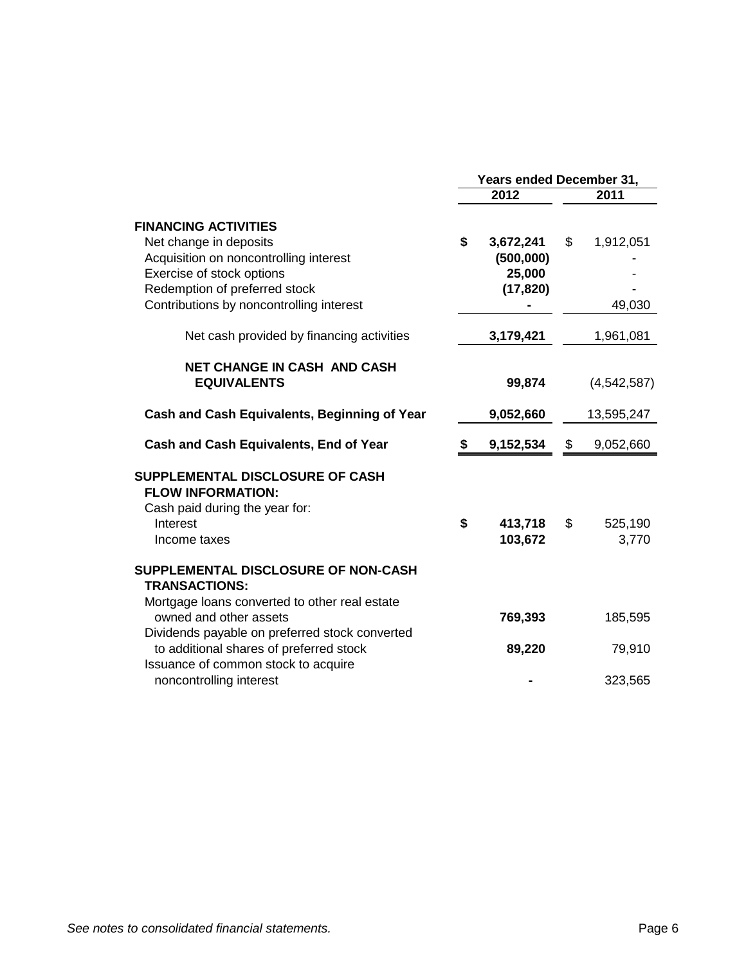|                                                             | Years ended December 31, |           |    |             |  |
|-------------------------------------------------------------|--------------------------|-----------|----|-------------|--|
|                                                             |                          | 2012      |    | 2011        |  |
| <b>FINANCING ACTIVITIES</b>                                 |                          |           |    |             |  |
| Net change in deposits                                      | \$                       | 3,672,241 | \$ | 1,912,051   |  |
| Acquisition on noncontrolling interest                      |                          | (500,000) |    |             |  |
| Exercise of stock options                                   |                          | 25,000    |    |             |  |
| Redemption of preferred stock                               |                          | (17, 820) |    |             |  |
| Contributions by noncontrolling interest                    |                          |           |    | 49,030      |  |
| Net cash provided by financing activities                   |                          | 3,179,421 |    | 1,961,081   |  |
| <b>NET CHANGE IN CASH AND CASH</b><br><b>EQUIVALENTS</b>    |                          | 99,874    |    | (4,542,587) |  |
| Cash and Cash Equivalents, Beginning of Year                |                          | 9,052,660 |    | 13,595,247  |  |
| <b>Cash and Cash Equivalents, End of Year</b>               |                          | 9,152,534 | \$ | 9,052,660   |  |
| SUPPLEMENTAL DISCLOSURE OF CASH<br><b>FLOW INFORMATION:</b> |                          |           |    |             |  |
| Cash paid during the year for:                              |                          |           |    |             |  |
| Interest                                                    | \$                       | 413,718   | \$ | 525,190     |  |
| Income taxes                                                |                          | 103,672   |    | 3,770       |  |
| SUPPLEMENTAL DISCLOSURE OF NON-CASH<br><b>TRANSACTIONS:</b> |                          |           |    |             |  |
| Mortgage loans converted to other real estate               |                          |           |    |             |  |
| owned and other assets                                      |                          | 769,393   |    | 185,595     |  |
| Dividends payable on preferred stock converted              |                          |           |    |             |  |
| to additional shares of preferred stock                     |                          | 89,220    |    | 79,910      |  |
| Issuance of common stock to acquire                         |                          |           |    |             |  |
| noncontrolling interest                                     |                          |           |    | 323,565     |  |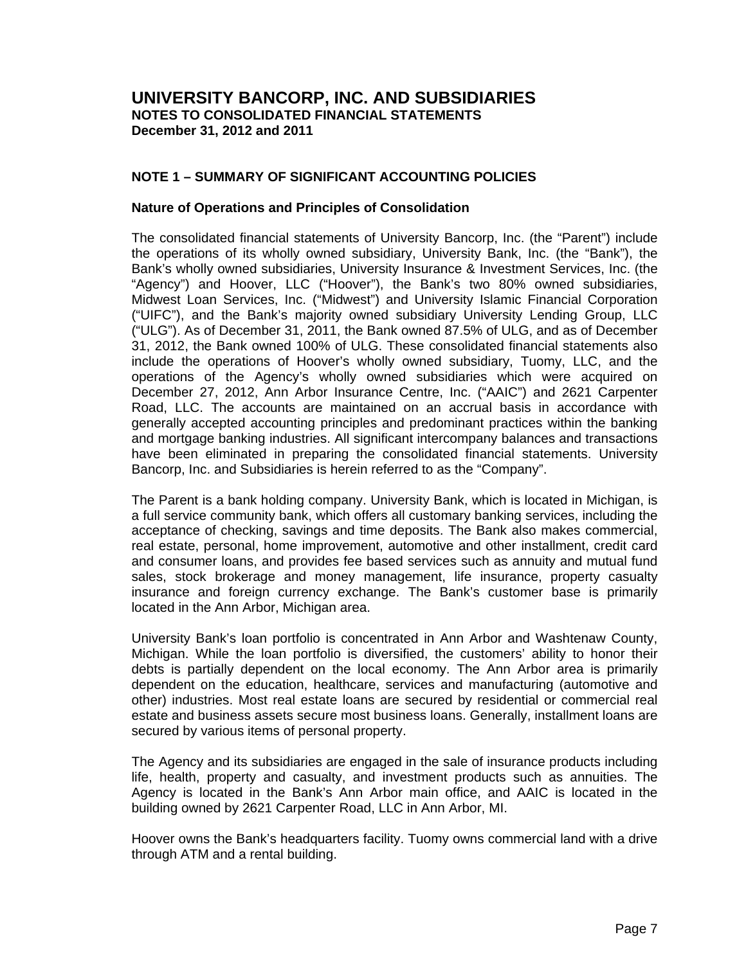### **NOTE 1 – SUMMARY OF SIGNIFICANT ACCOUNTING POLICIES**

#### **Nature of Operations and Principles of Consolidation**

The consolidated financial statements of University Bancorp, Inc. (the "Parent") include the operations of its wholly owned subsidiary, University Bank, Inc. (the "Bank"), the Bank's wholly owned subsidiaries, University Insurance & Investment Services, Inc. (the "Agency") and Hoover, LLC ("Hoover"), the Bank's two 80% owned subsidiaries, Midwest Loan Services, Inc. ("Midwest") and University Islamic Financial Corporation ("UIFC"), and the Bank's majority owned subsidiary University Lending Group, LLC ("ULG"). As of December 31, 2011, the Bank owned 87.5% of ULG, and as of December 31, 2012, the Bank owned 100% of ULG. These consolidated financial statements also include the operations of Hoover's wholly owned subsidiary, Tuomy, LLC, and the operations of the Agency's wholly owned subsidiaries which were acquired on December 27, 2012, Ann Arbor Insurance Centre, Inc. ("AAIC") and 2621 Carpenter Road, LLC. The accounts are maintained on an accrual basis in accordance with generally accepted accounting principles and predominant practices within the banking and mortgage banking industries. All significant intercompany balances and transactions have been eliminated in preparing the consolidated financial statements. University Bancorp, Inc. and Subsidiaries is herein referred to as the "Company".

The Parent is a bank holding company. University Bank, which is located in Michigan, is a full service community bank, which offers all customary banking services, including the acceptance of checking, savings and time deposits. The Bank also makes commercial, real estate, personal, home improvement, automotive and other installment, credit card and consumer loans, and provides fee based services such as annuity and mutual fund sales, stock brokerage and money management, life insurance, property casualty insurance and foreign currency exchange. The Bank's customer base is primarily located in the Ann Arbor, Michigan area.

University Bank's loan portfolio is concentrated in Ann Arbor and Washtenaw County, Michigan. While the loan portfolio is diversified, the customers' ability to honor their debts is partially dependent on the local economy. The Ann Arbor area is primarily dependent on the education, healthcare, services and manufacturing (automotive and other) industries. Most real estate loans are secured by residential or commercial real estate and business assets secure most business loans. Generally, installment loans are secured by various items of personal property.

The Agency and its subsidiaries are engaged in the sale of insurance products including life, health, property and casualty, and investment products such as annuities. The Agency is located in the Bank's Ann Arbor main office, and AAIC is located in the building owned by 2621 Carpenter Road, LLC in Ann Arbor, MI.

Hoover owns the Bank's headquarters facility. Tuomy owns commercial land with a drive through ATM and a rental building.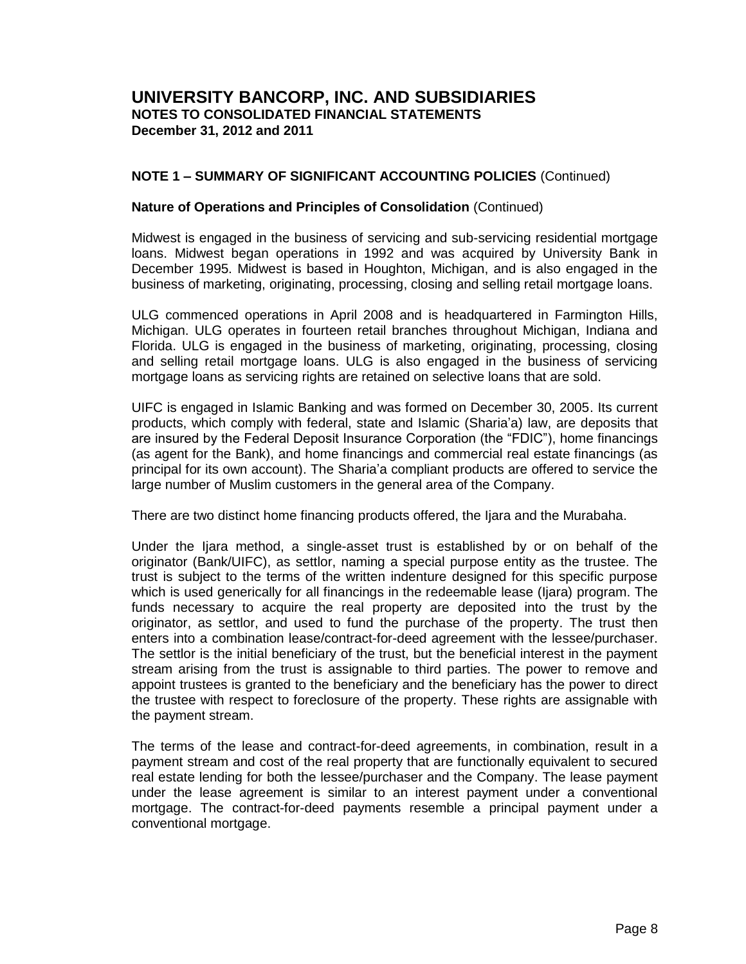### **NOTE 1 – SUMMARY OF SIGNIFICANT ACCOUNTING POLICIES** (Continued)

#### **Nature of Operations and Principles of Consolidation** (Continued)

Midwest is engaged in the business of servicing and sub-servicing residential mortgage loans. Midwest began operations in 1992 and was acquired by University Bank in December 1995. Midwest is based in Houghton, Michigan, and is also engaged in the business of marketing, originating, processing, closing and selling retail mortgage loans.

ULG commenced operations in April 2008 and is headquartered in Farmington Hills, Michigan. ULG operates in fourteen retail branches throughout Michigan, Indiana and Florida. ULG is engaged in the business of marketing, originating, processing, closing and selling retail mortgage loans. ULG is also engaged in the business of servicing mortgage loans as servicing rights are retained on selective loans that are sold.

UIFC is engaged in Islamic Banking and was formed on December 30, 2005. Its current products, which comply with federal, state and Islamic (Sharia'a) law, are deposits that are insured by the Federal Deposit Insurance Corporation (the "FDIC"), home financings (as agent for the Bank), and home financings and commercial real estate financings (as principal for its own account). The Sharia'a compliant products are offered to service the large number of Muslim customers in the general area of the Company.

There are two distinct home financing products offered, the Ijara and the Murabaha.

Under the Ijara method, a single-asset trust is established by or on behalf of the originator (Bank/UIFC), as settlor, naming a special purpose entity as the trustee. The trust is subject to the terms of the written indenture designed for this specific purpose which is used generically for all financings in the redeemable lease (Ijara) program. The funds necessary to acquire the real property are deposited into the trust by the originator, as settlor, and used to fund the purchase of the property. The trust then enters into a combination lease/contract-for-deed agreement with the lessee/purchaser. The settlor is the initial beneficiary of the trust, but the beneficial interest in the payment stream arising from the trust is assignable to third parties. The power to remove and appoint trustees is granted to the beneficiary and the beneficiary has the power to direct the trustee with respect to foreclosure of the property. These rights are assignable with the payment stream.

The terms of the lease and contract-for-deed agreements, in combination, result in a payment stream and cost of the real property that are functionally equivalent to secured real estate lending for both the lessee/purchaser and the Company. The lease payment under the lease agreement is similar to an interest payment under a conventional mortgage. The contract-for-deed payments resemble a principal payment under a conventional mortgage.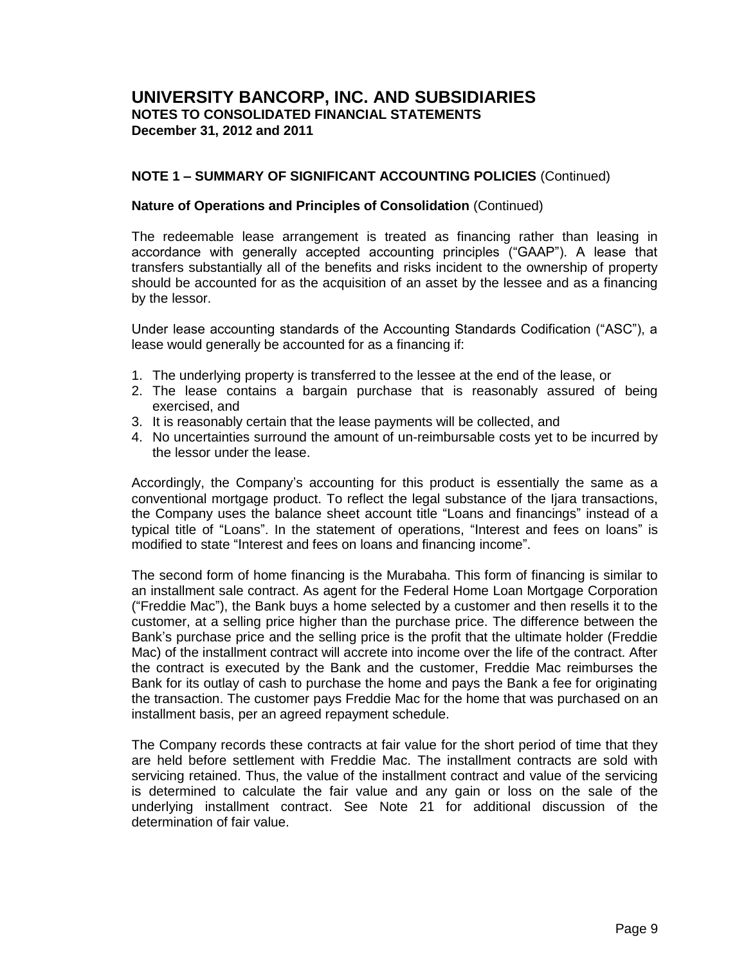### **NOTE 1 – SUMMARY OF SIGNIFICANT ACCOUNTING POLICIES** (Continued)

#### **Nature of Operations and Principles of Consolidation** (Continued)

The redeemable lease arrangement is treated as financing rather than leasing in accordance with generally accepted accounting principles ("GAAP"). A lease that transfers substantially all of the benefits and risks incident to the ownership of property should be accounted for as the acquisition of an asset by the lessee and as a financing by the lessor.

Under lease accounting standards of the Accounting Standards Codification ("ASC"), a lease would generally be accounted for as a financing if:

- 1. The underlying property is transferred to the lessee at the end of the lease, or
- 2. The lease contains a bargain purchase that is reasonably assured of being exercised, and
- 3. It is reasonably certain that the lease payments will be collected, and
- 4. No uncertainties surround the amount of un-reimbursable costs yet to be incurred by the lessor under the lease.

Accordingly, the Company's accounting for this product is essentially the same as a conventional mortgage product. To reflect the legal substance of the Ijara transactions, the Company uses the balance sheet account title "Loans and financings" instead of a typical title of "Loans". In the statement of operations, "Interest and fees on loans" is modified to state "Interest and fees on loans and financing income".

The second form of home financing is the Murabaha. This form of financing is similar to an installment sale contract. As agent for the Federal Home Loan Mortgage Corporation ("Freddie Mac"), the Bank buys a home selected by a customer and then resells it to the customer, at a selling price higher than the purchase price. The difference between the Bank's purchase price and the selling price is the profit that the ultimate holder (Freddie Mac) of the installment contract will accrete into income over the life of the contract. After the contract is executed by the Bank and the customer, Freddie Mac reimburses the Bank for its outlay of cash to purchase the home and pays the Bank a fee for originating the transaction. The customer pays Freddie Mac for the home that was purchased on an installment basis, per an agreed repayment schedule.

The Company records these contracts at fair value for the short period of time that they are held before settlement with Freddie Mac. The installment contracts are sold with servicing retained. Thus, the value of the installment contract and value of the servicing is determined to calculate the fair value and any gain or loss on the sale of the underlying installment contract. See Note 21 for additional discussion of the determination of fair value.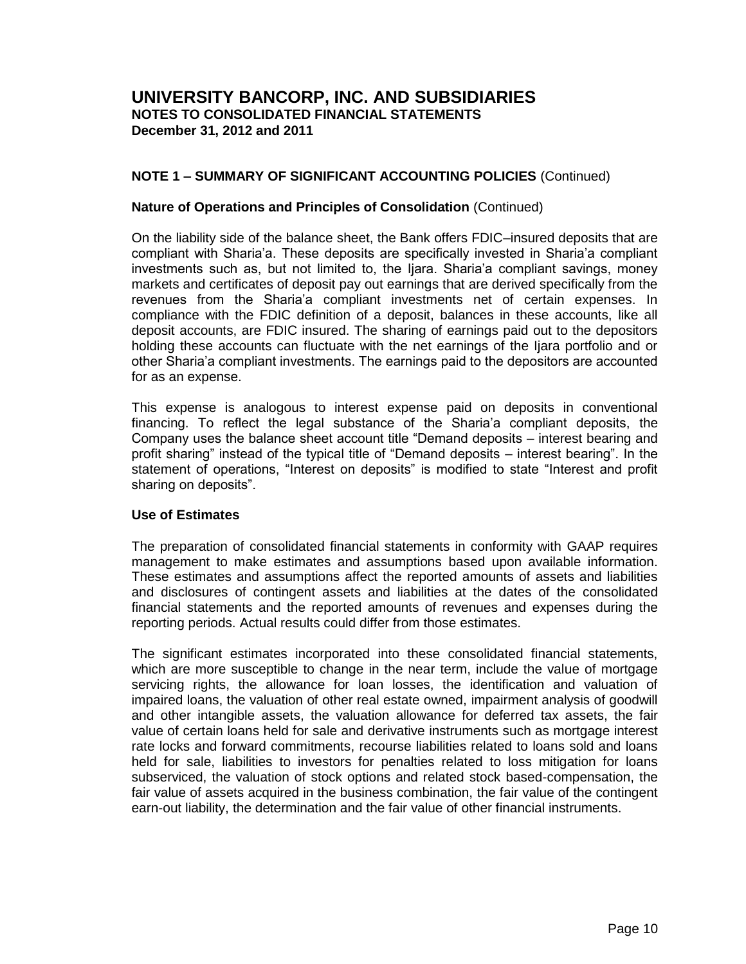### **NOTE 1 – SUMMARY OF SIGNIFICANT ACCOUNTING POLICIES** (Continued)

#### **Nature of Operations and Principles of Consolidation** (Continued)

On the liability side of the balance sheet, the Bank offers FDIC–insured deposits that are compliant with Sharia'a. These deposits are specifically invested in Sharia'a compliant investments such as, but not limited to, the Ijara. Sharia'a compliant savings, money markets and certificates of deposit pay out earnings that are derived specifically from the revenues from the Sharia'a compliant investments net of certain expenses. In compliance with the FDIC definition of a deposit, balances in these accounts, like all deposit accounts, are FDIC insured. The sharing of earnings paid out to the depositors holding these accounts can fluctuate with the net earnings of the Ijara portfolio and or other Sharia'a compliant investments. The earnings paid to the depositors are accounted for as an expense.

This expense is analogous to interest expense paid on deposits in conventional financing. To reflect the legal substance of the Sharia'a compliant deposits, the Company uses the balance sheet account title "Demand deposits – interest bearing and profit sharing" instead of the typical title of "Demand deposits – interest bearing". In the statement of operations, "Interest on deposits" is modified to state "Interest and profit sharing on deposits".

#### **Use of Estimates**

The preparation of consolidated financial statements in conformity with GAAP requires management to make estimates and assumptions based upon available information. These estimates and assumptions affect the reported amounts of assets and liabilities and disclosures of contingent assets and liabilities at the dates of the consolidated financial statements and the reported amounts of revenues and expenses during the reporting periods. Actual results could differ from those estimates.

The significant estimates incorporated into these consolidated financial statements, which are more susceptible to change in the near term, include the value of mortgage servicing rights, the allowance for loan losses, the identification and valuation of impaired loans, the valuation of other real estate owned, impairment analysis of goodwill and other intangible assets, the valuation allowance for deferred tax assets, the fair value of certain loans held for sale and derivative instruments such as mortgage interest rate locks and forward commitments, recourse liabilities related to loans sold and loans held for sale, liabilities to investors for penalties related to loss mitigation for loans subserviced, the valuation of stock options and related stock based-compensation, the fair value of assets acquired in the business combination, the fair value of the contingent earn-out liability, the determination and the fair value of other financial instruments.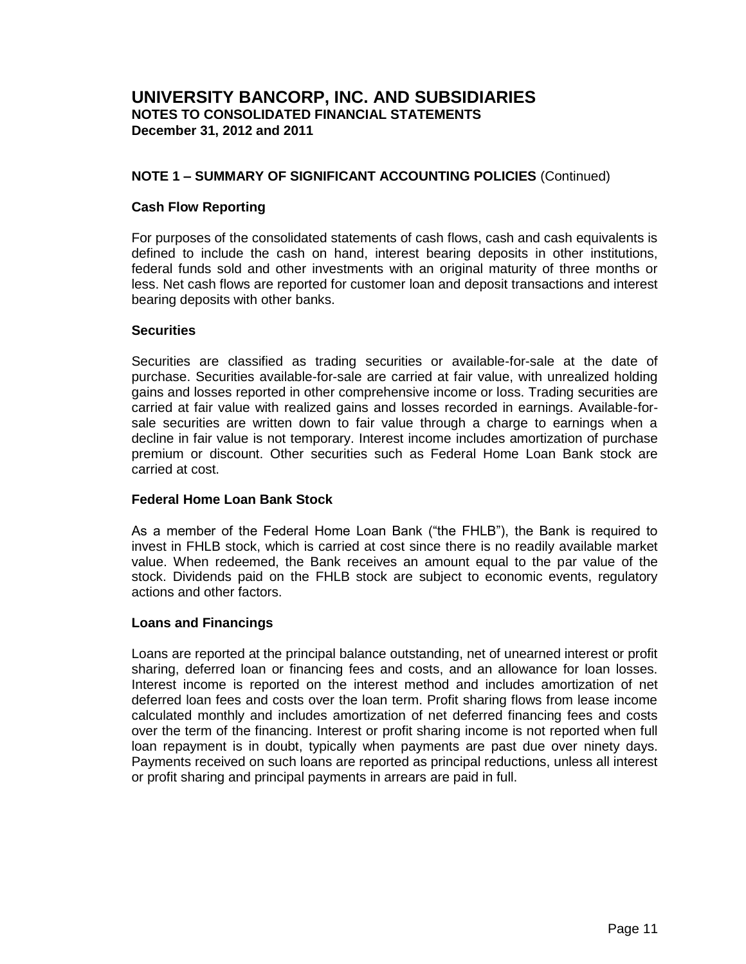### **NOTE 1 – SUMMARY OF SIGNIFICANT ACCOUNTING POLICIES** (Continued)

### **Cash Flow Reporting**

For purposes of the consolidated statements of cash flows, cash and cash equivalents is defined to include the cash on hand, interest bearing deposits in other institutions, federal funds sold and other investments with an original maturity of three months or less. Net cash flows are reported for customer loan and deposit transactions and interest bearing deposits with other banks.

#### **Securities**

Securities are classified as trading securities or available-for-sale at the date of purchase. Securities available-for-sale are carried at fair value, with unrealized holding gains and losses reported in other comprehensive income or loss. Trading securities are carried at fair value with realized gains and losses recorded in earnings. Available-forsale securities are written down to fair value through a charge to earnings when a decline in fair value is not temporary. Interest income includes amortization of purchase premium or discount. Other securities such as Federal Home Loan Bank stock are carried at cost.

#### **Federal Home Loan Bank Stock**

As a member of the Federal Home Loan Bank ("the FHLB"), the Bank is required to invest in FHLB stock, which is carried at cost since there is no readily available market value. When redeemed, the Bank receives an amount equal to the par value of the stock. Dividends paid on the FHLB stock are subject to economic events, regulatory actions and other factors.

#### **Loans and Financings**

Loans are reported at the principal balance outstanding, net of unearned interest or profit sharing, deferred loan or financing fees and costs, and an allowance for loan losses. Interest income is reported on the interest method and includes amortization of net deferred loan fees and costs over the loan term. Profit sharing flows from lease income calculated monthly and includes amortization of net deferred financing fees and costs over the term of the financing. Interest or profit sharing income is not reported when full loan repayment is in doubt, typically when payments are past due over ninety days. Payments received on such loans are reported as principal reductions, unless all interest or profit sharing and principal payments in arrears are paid in full.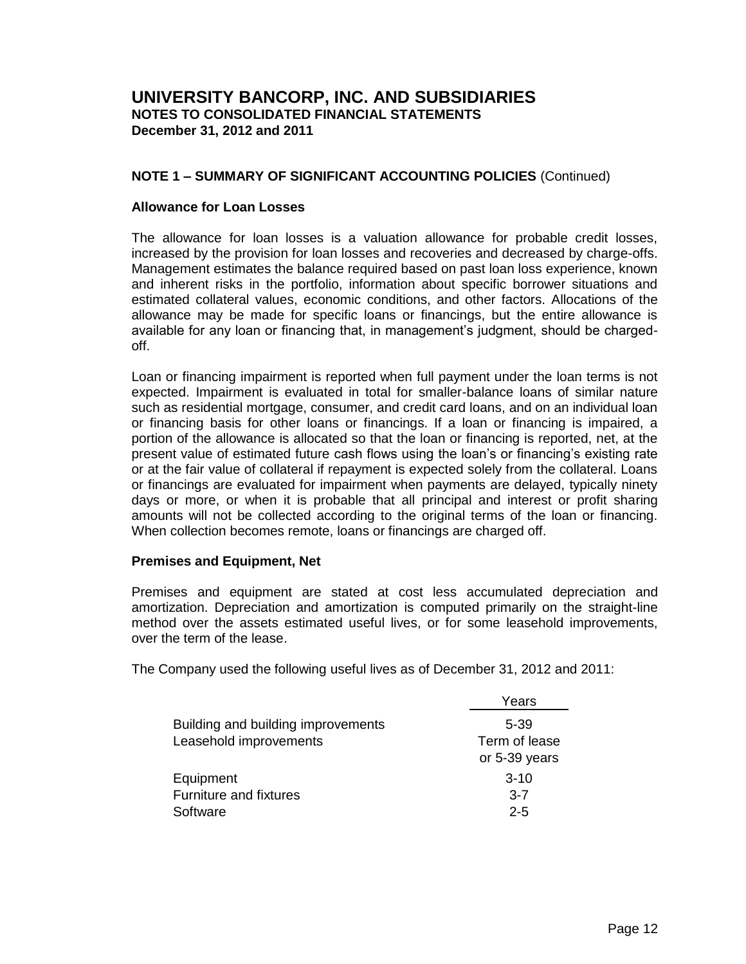### **NOTE 1 – SUMMARY OF SIGNIFICANT ACCOUNTING POLICIES** (Continued)

#### **Allowance for Loan Losses**

The allowance for loan losses is a valuation allowance for probable credit losses, increased by the provision for loan losses and recoveries and decreased by charge-offs. Management estimates the balance required based on past loan loss experience, known and inherent risks in the portfolio, information about specific borrower situations and estimated collateral values, economic conditions, and other factors. Allocations of the allowance may be made for specific loans or financings, but the entire allowance is available for any loan or financing that, in management's judgment, should be chargedoff.

Loan or financing impairment is reported when full payment under the loan terms is not expected. Impairment is evaluated in total for smaller-balance loans of similar nature such as residential mortgage, consumer, and credit card loans, and on an individual loan or financing basis for other loans or financings. If a loan or financing is impaired, a portion of the allowance is allocated so that the loan or financing is reported, net, at the present value of estimated future cash flows using the loan's or financing's existing rate or at the fair value of collateral if repayment is expected solely from the collateral. Loans or financings are evaluated for impairment when payments are delayed, typically ninety days or more, or when it is probable that all principal and interest or profit sharing amounts will not be collected according to the original terms of the loan or financing. When collection becomes remote, loans or financings are charged off.

#### **Premises and Equipment, Net**

Premises and equipment are stated at cost less accumulated depreciation and amortization. Depreciation and amortization is computed primarily on the straight-line method over the assets estimated useful lives, or for some leasehold improvements, over the term of the lease.

The Company used the following useful lives as of December 31, 2012 and 2011:

|                                    | Years                          |
|------------------------------------|--------------------------------|
| Building and building improvements | $5-39$                         |
| Leasehold improvements             | Term of lease<br>or 5-39 years |
| Equipment                          | $3-10$                         |
| <b>Furniture and fixtures</b>      | $3 - 7$                        |
| Software                           | $2 - 5$                        |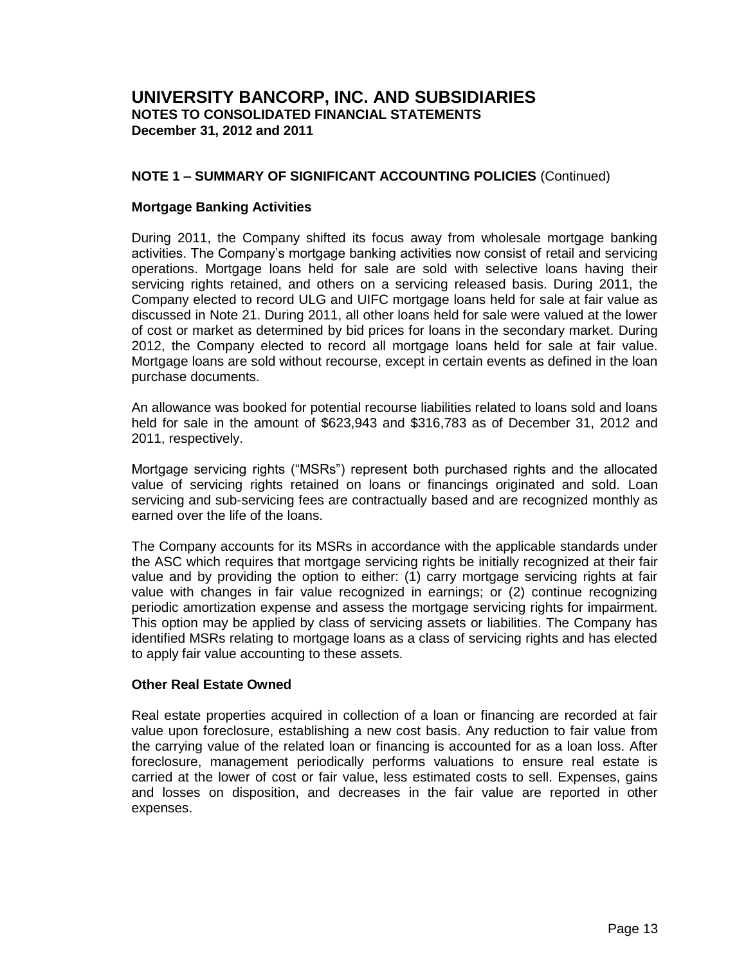### **NOTE 1 – SUMMARY OF SIGNIFICANT ACCOUNTING POLICIES** (Continued)

#### **Mortgage Banking Activities**

During 2011, the Company shifted its focus away from wholesale mortgage banking activities. The Company's mortgage banking activities now consist of retail and servicing operations. Mortgage loans held for sale are sold with selective loans having their servicing rights retained, and others on a servicing released basis. During 2011, the Company elected to record ULG and UIFC mortgage loans held for sale at fair value as discussed in Note 21. During 2011, all other loans held for sale were valued at the lower of cost or market as determined by bid prices for loans in the secondary market. During 2012, the Company elected to record all mortgage loans held for sale at fair value. Mortgage loans are sold without recourse, except in certain events as defined in the loan purchase documents.

An allowance was booked for potential recourse liabilities related to loans sold and loans held for sale in the amount of \$623,943 and \$316,783 as of December 31, 2012 and 2011, respectively.

Mortgage servicing rights ("MSRs") represent both purchased rights and the allocated value of servicing rights retained on loans or financings originated and sold. Loan servicing and sub-servicing fees are contractually based and are recognized monthly as earned over the life of the loans.

The Company accounts for its MSRs in accordance with the applicable standards under the ASC which requires that mortgage servicing rights be initially recognized at their fair value and by providing the option to either: (1) carry mortgage servicing rights at fair value with changes in fair value recognized in earnings; or (2) continue recognizing periodic amortization expense and assess the mortgage servicing rights for impairment. This option may be applied by class of servicing assets or liabilities. The Company has identified MSRs relating to mortgage loans as a class of servicing rights and has elected to apply fair value accounting to these assets.

#### **Other Real Estate Owned**

Real estate properties acquired in collection of a loan or financing are recorded at fair value upon foreclosure, establishing a new cost basis. Any reduction to fair value from the carrying value of the related loan or financing is accounted for as a loan loss. After foreclosure, management periodically performs valuations to ensure real estate is carried at the lower of cost or fair value, less estimated costs to sell. Expenses, gains and losses on disposition, and decreases in the fair value are reported in other expenses.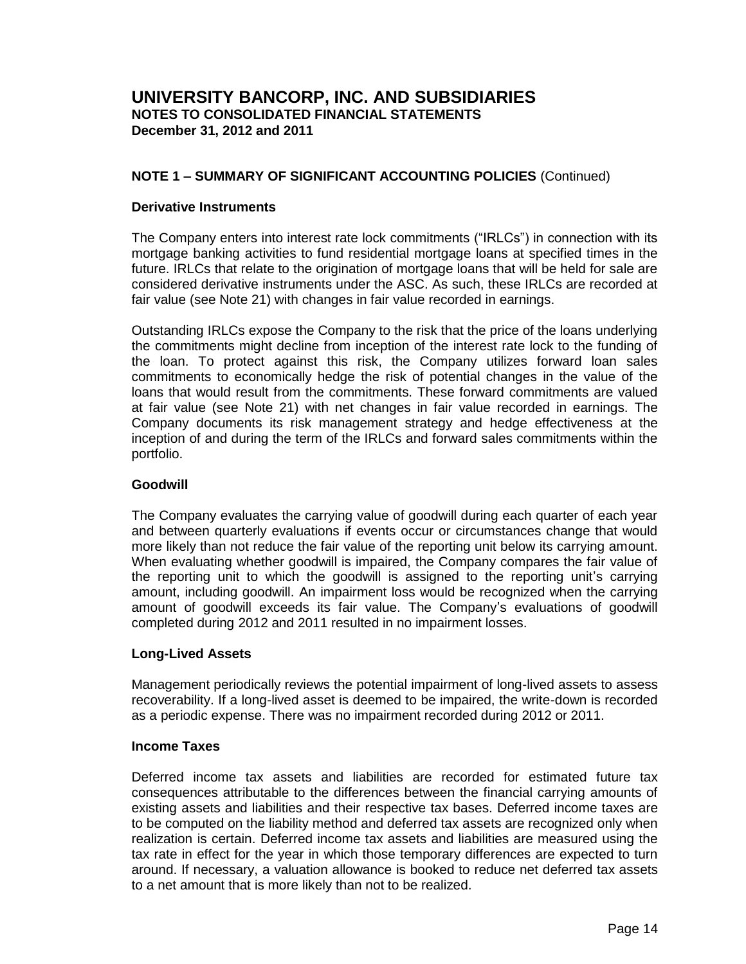### **NOTE 1 – SUMMARY OF SIGNIFICANT ACCOUNTING POLICIES** (Continued)

### **Derivative Instruments**

The Company enters into interest rate lock commitments ("IRLCs") in connection with its mortgage banking activities to fund residential mortgage loans at specified times in the future. IRLCs that relate to the origination of mortgage loans that will be held for sale are considered derivative instruments under the ASC. As such, these IRLCs are recorded at fair value (see Note 21) with changes in fair value recorded in earnings.

Outstanding IRLCs expose the Company to the risk that the price of the loans underlying the commitments might decline from inception of the interest rate lock to the funding of the loan. To protect against this risk, the Company utilizes forward loan sales commitments to economically hedge the risk of potential changes in the value of the loans that would result from the commitments. These forward commitments are valued at fair value (see Note 21) with net changes in fair value recorded in earnings. The Company documents its risk management strategy and hedge effectiveness at the inception of and during the term of the IRLCs and forward sales commitments within the portfolio.

### **Goodwill**

The Company evaluates the carrying value of goodwill during each quarter of each year and between quarterly evaluations if events occur or circumstances change that would more likely than not reduce the fair value of the reporting unit below its carrying amount. When evaluating whether goodwill is impaired, the Company compares the fair value of the reporting unit to which the goodwill is assigned to the reporting unit's carrying amount, including goodwill. An impairment loss would be recognized when the carrying amount of goodwill exceeds its fair value. The Company's evaluations of goodwill completed during 2012 and 2011 resulted in no impairment losses.

### **Long-Lived Assets**

Management periodically reviews the potential impairment of long-lived assets to assess recoverability. If a long-lived asset is deemed to be impaired, the write-down is recorded as a periodic expense. There was no impairment recorded during 2012 or 2011.

#### **Income Taxes**

Deferred income tax assets and liabilities are recorded for estimated future tax consequences attributable to the differences between the financial carrying amounts of existing assets and liabilities and their respective tax bases. Deferred income taxes are to be computed on the liability method and deferred tax assets are recognized only when realization is certain. Deferred income tax assets and liabilities are measured using the tax rate in effect for the year in which those temporary differences are expected to turn around. If necessary, a valuation allowance is booked to reduce net deferred tax assets to a net amount that is more likely than not to be realized.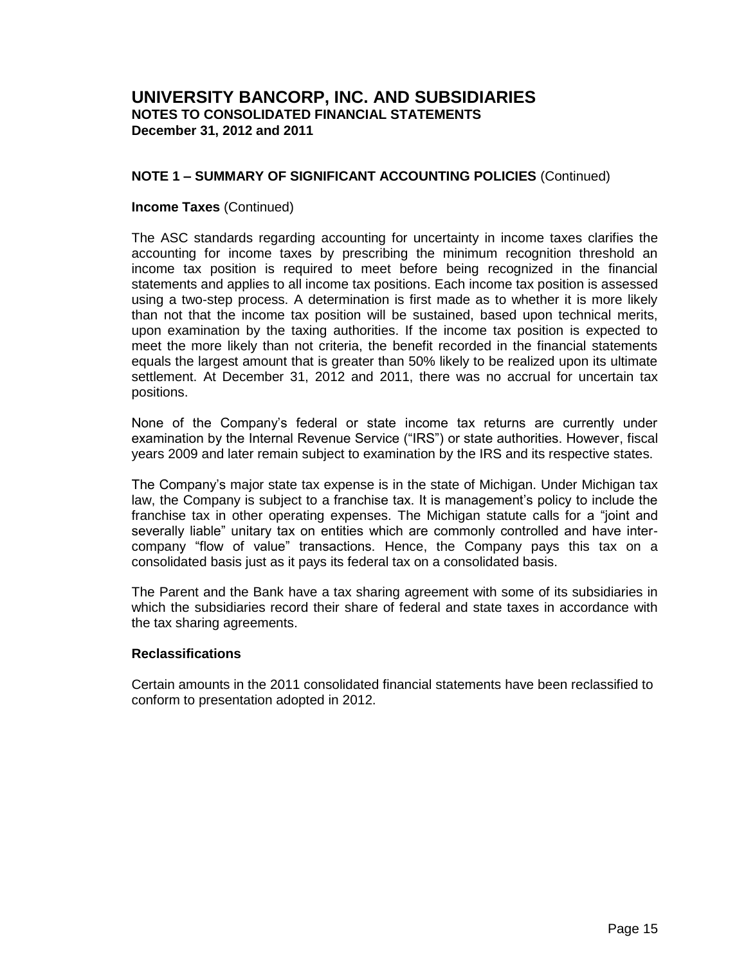### **NOTE 1 – SUMMARY OF SIGNIFICANT ACCOUNTING POLICIES** (Continued)

#### **Income Taxes** (Continued)

The ASC standards regarding accounting for uncertainty in income taxes clarifies the accounting for income taxes by prescribing the minimum recognition threshold an income tax position is required to meet before being recognized in the financial statements and applies to all income tax positions. Each income tax position is assessed using a two-step process. A determination is first made as to whether it is more likely than not that the income tax position will be sustained, based upon technical merits, upon examination by the taxing authorities. If the income tax position is expected to meet the more likely than not criteria, the benefit recorded in the financial statements equals the largest amount that is greater than 50% likely to be realized upon its ultimate settlement. At December 31, 2012 and 2011, there was no accrual for uncertain tax positions.

None of the Company's federal or state income tax returns are currently under examination by the Internal Revenue Service ("IRS") or state authorities. However, fiscal years 2009 and later remain subject to examination by the IRS and its respective states.

The Company's major state tax expense is in the state of Michigan. Under Michigan tax law, the Company is subject to a franchise tax. It is management's policy to include the franchise tax in other operating expenses. The Michigan statute calls for a "joint and severally liable" unitary tax on entities which are commonly controlled and have intercompany "flow of value" transactions. Hence, the Company pays this tax on a consolidated basis just as it pays its federal tax on a consolidated basis.

The Parent and the Bank have a tax sharing agreement with some of its subsidiaries in which the subsidiaries record their share of federal and state taxes in accordance with the tax sharing agreements.

#### **Reclassifications**

Certain amounts in the 2011 consolidated financial statements have been reclassified to conform to presentation adopted in 2012.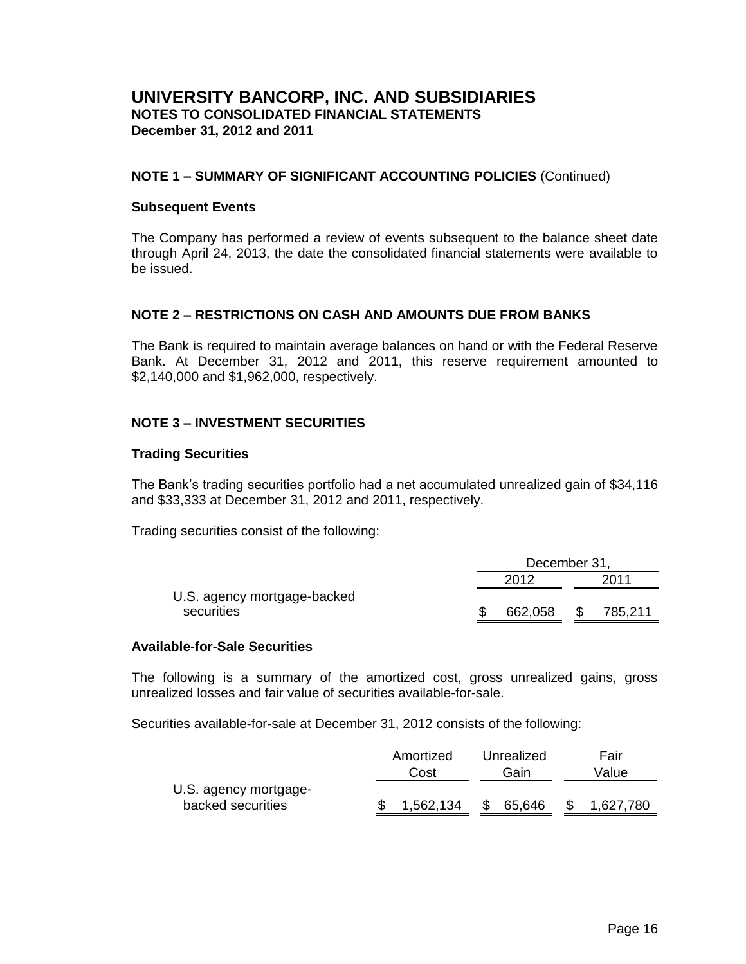### **NOTE 1 – SUMMARY OF SIGNIFICANT ACCOUNTING POLICIES** (Continued)

#### **Subsequent Events**

The Company has performed a review of events subsequent to the balance sheet date through April 24, 2013, the date the consolidated financial statements were available to be issued.

### **NOTE 2 – RESTRICTIONS ON CASH AND AMOUNTS DUE FROM BANKS**

The Bank is required to maintain average balances on hand or with the Federal Reserve Bank. At December 31, 2012 and 2011, this reserve requirement amounted to \$2,140,000 and \$1,962,000, respectively.

#### **NOTE 3 – INVESTMENT SECURITIES**

#### **Trading Securities**

The Bank's trading securities portfolio had a net accumulated unrealized gain of \$34,116 and \$33,333 at December 31, 2012 and 2011, respectively.

Trading securities consist of the following:

|                             | December 31, |  |         |  |
|-----------------------------|--------------|--|---------|--|
|                             | 2012         |  | 2011    |  |
| U.S. agency mortgage-backed |              |  |         |  |
| securities                  | 662,058      |  | 785,211 |  |

#### **Available-for-Sale Securities**

The following is a summary of the amortized cost, gross unrealized gains, gross unrealized losses and fair value of securities available-for-sale.

Securities available-for-sale at December 31, 2012 consists of the following:

|                       | Amortized | Unrealized | Fair      |
|-----------------------|-----------|------------|-----------|
|                       | Cost      | Gain       | Value     |
| U.S. agency mortgage- |           |            |           |
| backed securities     | 1,562,134 | 65,646     | 1,627,780 |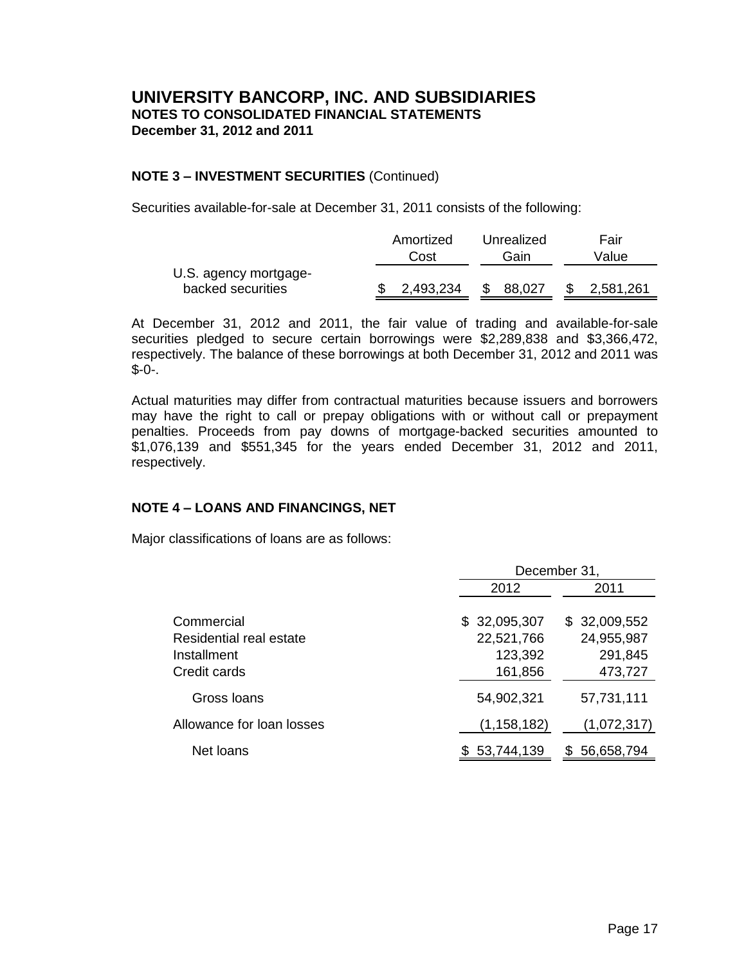### **NOTE 3 – INVESTMENT SECURITIES** (Continued)

Securities available-for-sale at December 31, 2011 consists of the following:

|                       | Amortized | Unrealized   | Fair      |
|-----------------------|-----------|--------------|-----------|
|                       | Cost      | Gain         | Value     |
| U.S. agency mortgage- |           |              |           |
| backed securities     | 2,493,234 | \$<br>88,027 | 2,581,261 |

At December 31, 2012 and 2011, the fair value of trading and available-for-sale securities pledged to secure certain borrowings were \$2,289,838 and \$3,366,472, respectively. The balance of these borrowings at both December 31, 2012 and 2011 was \$-0-.

Actual maturities may differ from contractual maturities because issuers and borrowers may have the right to call or prepay obligations with or without call or prepayment penalties. Proceeds from pay downs of mortgage-backed securities amounted to \$1,076,139 and \$551,345 for the years ended December 31, 2012 and 2011, respectively.

### **NOTE 4 – LOANS AND FINANCINGS, NET**

Major classifications of loans are as follows:

|                                                                      |                                                  | December 31,                                      |  |  |  |  |
|----------------------------------------------------------------------|--------------------------------------------------|---------------------------------------------------|--|--|--|--|
|                                                                      | 2012                                             | 2011                                              |  |  |  |  |
| Commercial<br>Residential real estate<br>Installment<br>Credit cards | \$32,095,307<br>22,521,766<br>123,392<br>161,856 | \$ 32,009,552<br>24,955,987<br>291,845<br>473,727 |  |  |  |  |
| Gross Ioans                                                          | 54,902,321                                       | 57,731,111                                        |  |  |  |  |
| Allowance for loan losses                                            | (1, 158, 182)                                    | (1,072,317)                                       |  |  |  |  |
| Net loans                                                            | 53,744,139                                       | 56,658,794<br>S                                   |  |  |  |  |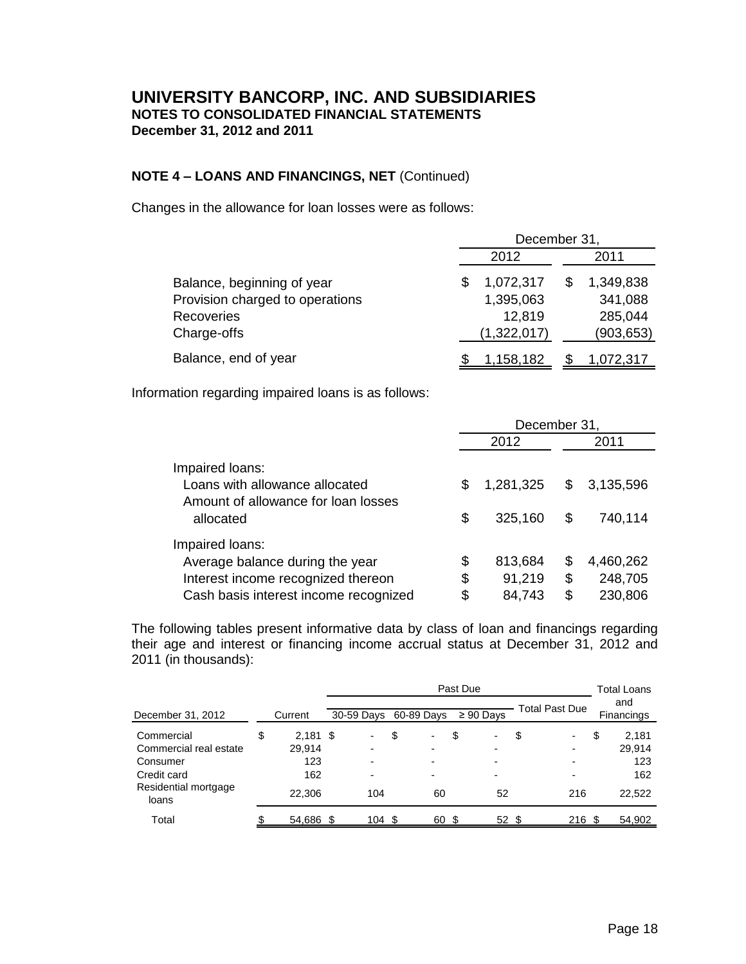### **NOTE 4 – LOANS AND FINANCINGS, NET** (Continued)

Changes in the allowance for loan losses were as follows:

|                                 | December 31,   |            |  |  |  |  |
|---------------------------------|----------------|------------|--|--|--|--|
|                                 | 2012           | 2011       |  |  |  |  |
| Balance, beginning of year      | 1,072,317<br>S | 1,349,838  |  |  |  |  |
| Provision charged to operations | 1,395,063      | 341,088    |  |  |  |  |
| Recoveries                      | 12,819         | 285,044    |  |  |  |  |
| Charge-offs                     | (1,322,017)    | (903, 653) |  |  |  |  |
| Balance, end of year            | 1,158,182      | 1,072,317  |  |  |  |  |

Information regarding impaired loans is as follows:

|                                       | December 31, |           |    |           |  |  |
|---------------------------------------|--------------|-----------|----|-----------|--|--|
|                                       |              | 2012      |    | 2011      |  |  |
| Impaired loans:                       |              |           |    |           |  |  |
| Loans with allowance allocated        | S            | 1,281,325 | \$ | 3,135,596 |  |  |
| Amount of allowance for loan losses   |              |           |    |           |  |  |
| allocated                             | \$           | 325,160   | \$ | 740,114   |  |  |
| Impaired loans:                       |              |           |    |           |  |  |
| Average balance during the year       | \$           | 813,684   | \$ | 4,460,262 |  |  |
| Interest income recognized thereon    | \$           | 91,219    | \$ | 248,705   |  |  |
| Cash basis interest income recognized | \$           | 84,743    | \$ | 230,806   |  |  |

The following tables present informative data by class of loan and financings regarding their age and interest or financing income accrual status at December 31, 2012 and 2011 (in thousands):

|                                      |                            | Past Due |            |    |                          |    | <b>Total Loans</b>                                   |                                                            |                       |
|--------------------------------------|----------------------------|----------|------------|----|--------------------------|----|------------------------------------------------------|------------------------------------------------------------|-----------------------|
| December 31, 2012                    | Current                    |          | 30-59 Days |    | 60-89 Days               |    | $\geq 90$ Days                                       | <b>Total Past Due</b>                                      | and<br>Financings     |
| Commercial<br>Commercial real estate | \$<br>$2,181$ \$<br>29,914 |          |            | \$ | ٠                        | \$ | $\overline{\phantom{0}}$<br>$\overline{\phantom{0}}$ | \$<br>$\overline{\phantom{0}}$<br>$\overline{\phantom{0}}$ | \$<br>2,181<br>29,914 |
| Consumer<br>Credit card              | 123<br>162                 |          |            |    | $\overline{\phantom{0}}$ |    |                                                      |                                                            | 123<br>162            |
| Residential mortgage<br>loans        | 22.306                     |          | 104        |    | 60                       |    | 52                                                   | 216                                                        | 22,522                |
| Total                                | 54,686 \$                  |          | 104S       |    | 60 \$                    |    | 52S                                                  | 216S                                                       | 54,902                |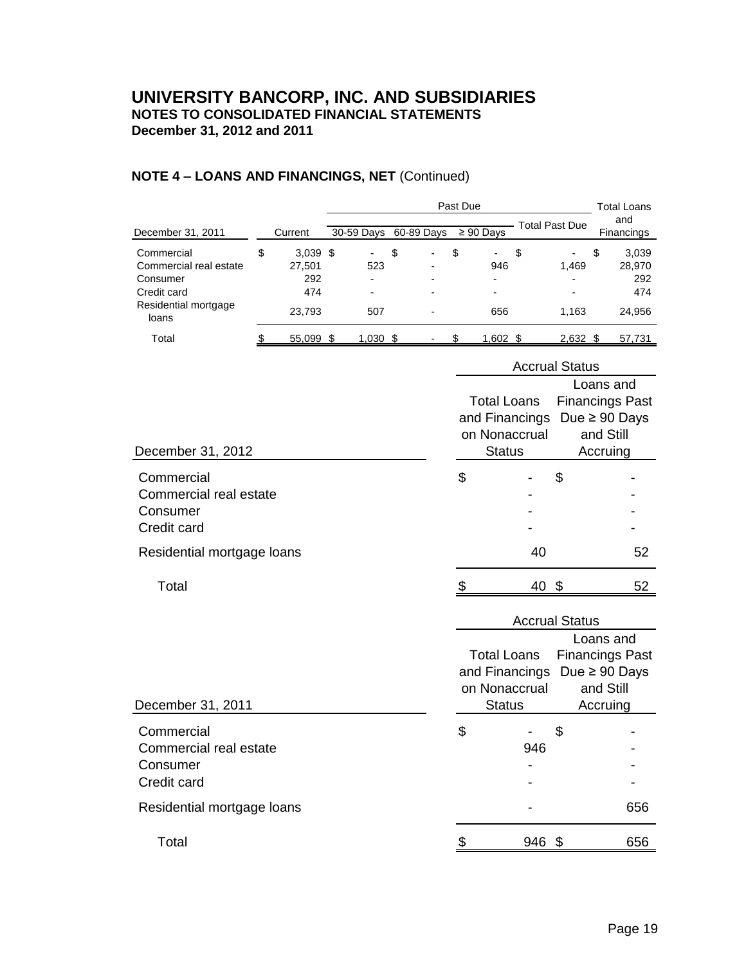|                                                                 |                                          |            |            | Past Due |                                     |                                 |                       |                       | <b>Total Loans</b>                                        |
|-----------------------------------------------------------------|------------------------------------------|------------|------------|----------|-------------------------------------|---------------------------------|-----------------------|-----------------------|-----------------------------------------------------------|
| December 31, 2011                                               | Current                                  | 30-59 Days | 60-89 Days |          | $\geq 90$ Days                      |                                 | <b>Total Past Due</b> |                       | and<br>Financings                                         |
| Commercial<br>Commercial real estate<br>Consumer<br>Credit card | \$<br>$3,039$ \$<br>27,501<br>292<br>474 | 523        | \$         | \$       | 946                                 | \$                              | 1,469                 | \$                    | 3,039<br>28,970<br>292<br>474                             |
| Residential mortgage<br>loans                                   | 23,793                                   | 507        |            |          | 656                                 |                                 | 1,163                 |                       | 24,956                                                    |
| Total                                                           | \$<br>55,099 \$                          | 1,030 \$   |            | \$       | $1,602$ \$                          |                                 | 2,632 \$              |                       | 57,731                                                    |
|                                                                 |                                          |            |            |          |                                     | <b>Accrual Status</b>           |                       |                       |                                                           |
| December 31, 2012                                               |                                          |            |            |          | <b>Total Loans</b><br><b>Status</b> | and Financings<br>on Nonaccrual |                       | and Still<br>Accruing | Loans and<br><b>Financings Past</b><br>Due $\geq 90$ Days |
| Commercial<br>Commercial real estate<br>Consumer<br>Credit card |                                          |            |            | \$       |                                     |                                 | \$                    |                       |                                                           |
| Residential mortgage loans                                      |                                          |            |            |          |                                     | 40                              |                       |                       | 52                                                        |
| Total                                                           |                                          |            |            |          |                                     | 40                              | \$                    |                       | 52                                                        |
|                                                                 |                                          |            |            |          |                                     | <b>Accrual Status</b>           |                       |                       |                                                           |
| December 31, 2011                                               |                                          |            |            |          | <b>Total Loans</b><br><b>Status</b> | and Financings<br>on Nonaccrual |                       | and Still<br>Accruing | Loans and<br><b>Financings Past</b><br>Due $\geq 90$ Days |
| Commercial<br>Commercial real estate<br>Consumer<br>Credit card |                                          |            |            | \$       |                                     | 946                             | \$                    |                       |                                                           |
| Residential mortgage loans                                      |                                          |            |            |          |                                     |                                 |                       |                       | 656                                                       |
| Total                                                           |                                          |            |            | \$       |                                     | 946 \$                          |                       |                       | 656                                                       |

# **NOTE 4 – LOANS AND FINANCINGS, NET** (Continued)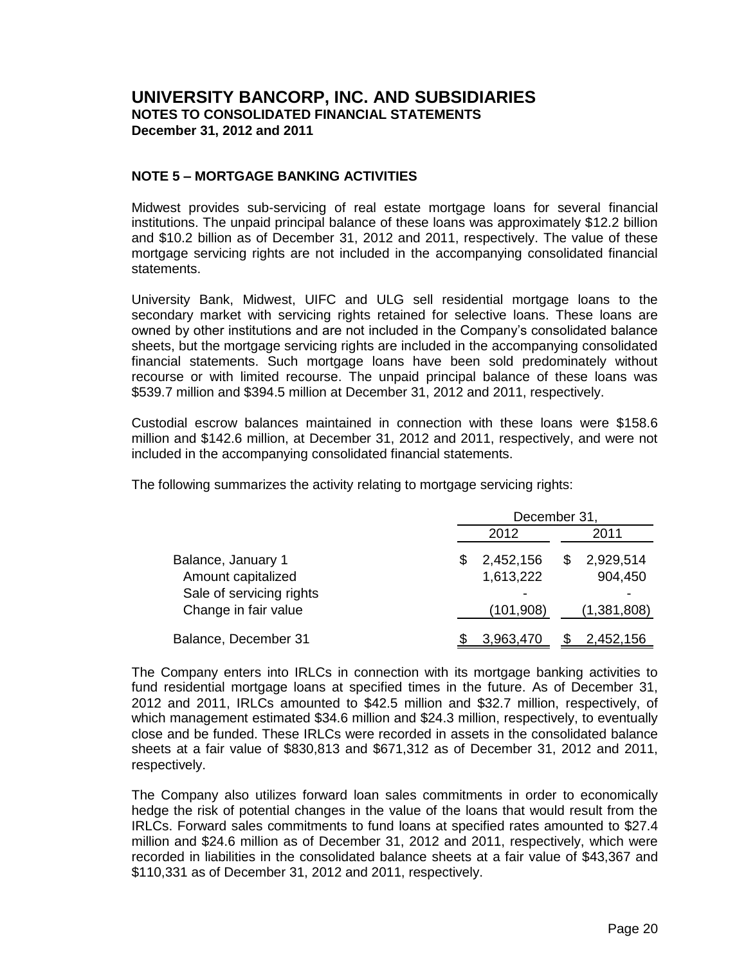### **NOTE 5 – MORTGAGE BANKING ACTIVITIES**

Midwest provides sub-servicing of real estate mortgage loans for several financial institutions. The unpaid principal balance of these loans was approximately \$12.2 billion and \$10.2 billion as of December 31, 2012 and 2011, respectively. The value of these mortgage servicing rights are not included in the accompanying consolidated financial statements.

University Bank, Midwest, UIFC and ULG sell residential mortgage loans to the secondary market with servicing rights retained for selective loans. These loans are owned by other institutions and are not included in the Company's consolidated balance sheets, but the mortgage servicing rights are included in the accompanying consolidated financial statements. Such mortgage loans have been sold predominately without recourse or with limited recourse. The unpaid principal balance of these loans was \$539.7 million and \$394.5 million at December 31, 2012 and 2011, respectively.

Custodial escrow balances maintained in connection with these loans were \$158.6 million and \$142.6 million, at December 31, 2012 and 2011, respectively, and were not included in the accompanying consolidated financial statements.

The following summarizes the activity relating to mortgage servicing rights:

|                                                                      | December 31,           |   |                      |  |  |
|----------------------------------------------------------------------|------------------------|---|----------------------|--|--|
|                                                                      | 2012                   |   | 2011                 |  |  |
| Balance, January 1<br>Amount capitalized<br>Sale of servicing rights | 2,452,156<br>1,613,222 | S | 2,929,514<br>904,450 |  |  |
| Change in fair value                                                 | (101,908)              |   | (1,381,808)          |  |  |
| Balance, December 31                                                 | 3,963,470              |   | 2,452,156            |  |  |

The Company enters into IRLCs in connection with its mortgage banking activities to fund residential mortgage loans at specified times in the future. As of December 31, 2012 and 2011, IRLCs amounted to \$42.5 million and \$32.7 million, respectively, of which management estimated \$34.6 million and \$24.3 million, respectively, to eventually close and be funded. These IRLCs were recorded in assets in the consolidated balance sheets at a fair value of \$830,813 and \$671,312 as of December 31, 2012 and 2011, respectively.

The Company also utilizes forward loan sales commitments in order to economically hedge the risk of potential changes in the value of the loans that would result from the IRLCs. Forward sales commitments to fund loans at specified rates amounted to \$27.4 million and \$24.6 million as of December 31, 2012 and 2011, respectively, which were recorded in liabilities in the consolidated balance sheets at a fair value of \$43,367 and \$110,331 as of December 31, 2012 and 2011, respectively.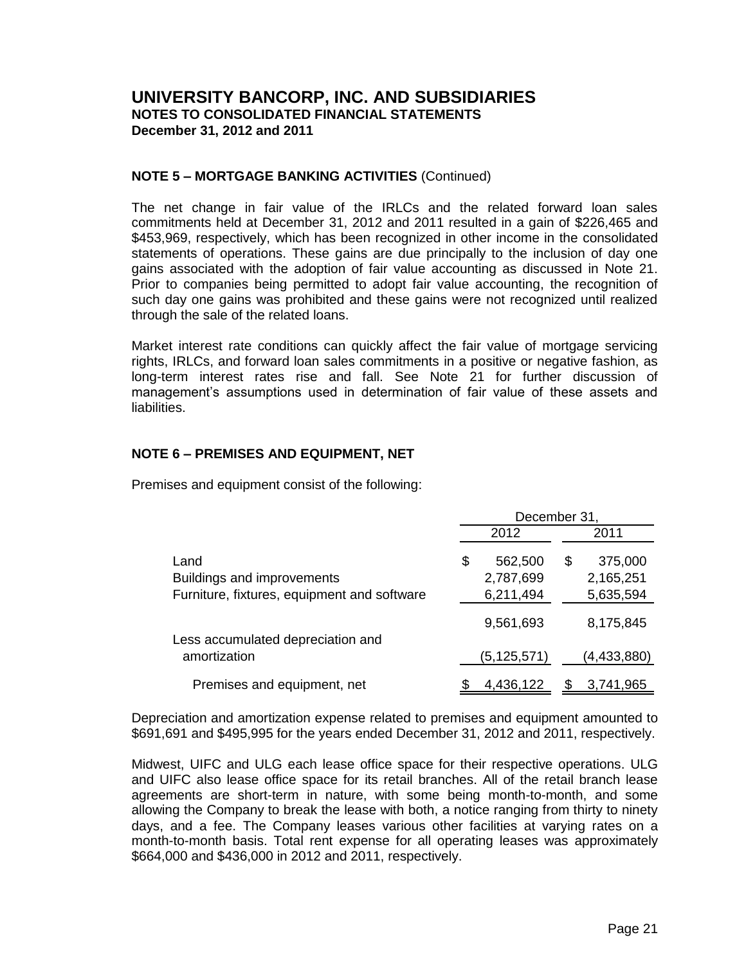### **NOTE 5 – MORTGAGE BANKING ACTIVITIES** (Continued)

The net change in fair value of the IRLCs and the related forward loan sales commitments held at December 31, 2012 and 2011 resulted in a gain of \$226,465 and \$453,969, respectively, which has been recognized in other income in the consolidated statements of operations. These gains are due principally to the inclusion of day one gains associated with the adoption of fair value accounting as discussed in Note 21. Prior to companies being permitted to adopt fair value accounting, the recognition of such day one gains was prohibited and these gains were not recognized until realized through the sale of the related loans.

Market interest rate conditions can quickly affect the fair value of mortgage servicing rights, IRLCs, and forward loan sales commitments in a positive or negative fashion, as long-term interest rates rise and fall. See Note 21 for further discussion of management's assumptions used in determination of fair value of these assets and liabilities.

### **NOTE 6 – PREMISES AND EQUIPMENT, NET**

Premises and equipment consist of the following:

|                                             | December 31, |             |  |             |  |  |
|---------------------------------------------|--------------|-------------|--|-------------|--|--|
|                                             | 2012         |             |  | 2011        |  |  |
| Land                                        | \$           | 562,500     |  | 375,000     |  |  |
| Buildings and improvements                  |              | 2,787,699   |  | 2,165,251   |  |  |
| Furniture, fixtures, equipment and software |              | 6,211,494   |  | 5,635,594   |  |  |
| Less accumulated depreciation and           |              | 9,561,693   |  | 8,175,845   |  |  |
| amortization                                |              | (5,125,571) |  | (4,433,880) |  |  |
| Premises and equipment, net                 |              | 4,436,122   |  | 3,741,965   |  |  |

Depreciation and amortization expense related to premises and equipment amounted to \$691,691 and \$495,995 for the years ended December 31, 2012 and 2011, respectively.

Midwest, UIFC and ULG each lease office space for their respective operations. ULG and UIFC also lease office space for its retail branches. All of the retail branch lease agreements are short-term in nature, with some being month-to-month, and some allowing the Company to break the lease with both, a notice ranging from thirty to ninety days, and a fee. The Company leases various other facilities at varying rates on a month-to-month basis. Total rent expense for all operating leases was approximately \$664,000 and \$436,000 in 2012 and 2011, respectively.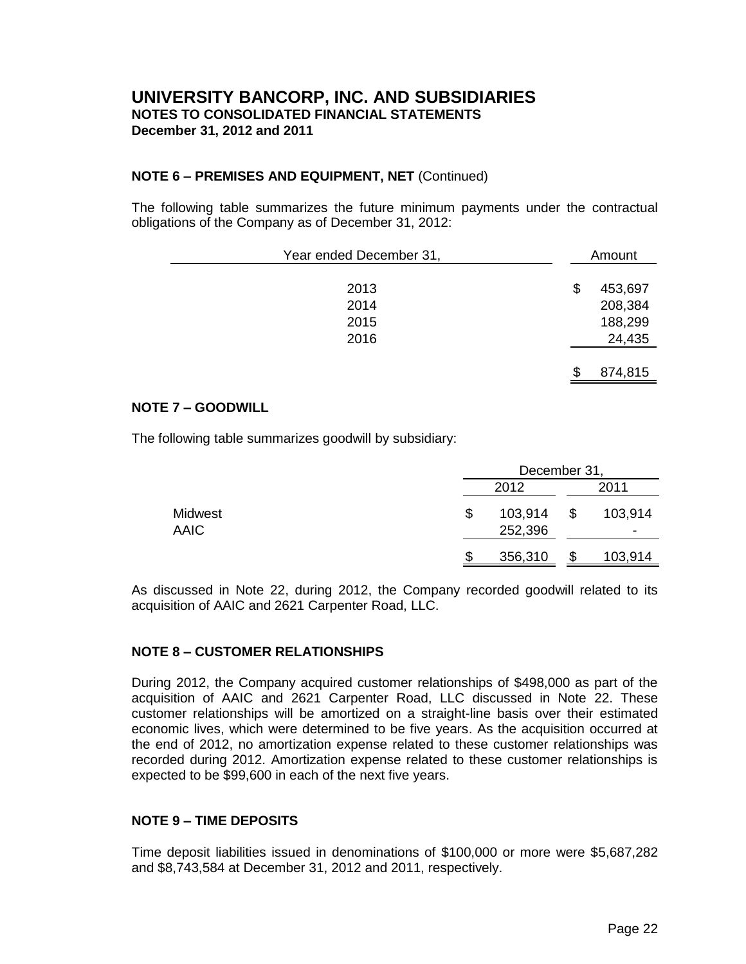#### **NOTE 6 – PREMISES AND EQUIPMENT, NET** (Continued)

The following table summarizes the future minimum payments under the contractual obligations of the Company as of December 31, 2012:

| Year ended December 31,      |    | Amount                                  |
|------------------------------|----|-----------------------------------------|
| 2013<br>2014<br>2015<br>2016 | \$ | 453,697<br>208,384<br>188,299<br>24,435 |
|                              | S  | 874,815                                 |

### **NOTE 7 – GOODWILL**

The following table summarizes goodwill by subsidiary:

|                        | December 31,             |    |                                     |  |
|------------------------|--------------------------|----|-------------------------------------|--|
|                        | 2012                     |    | 2011                                |  |
| Midwest<br><b>AAIC</b> | \$<br>103,914<br>252,396 | \$ | 103,914<br>$\overline{\phantom{a}}$ |  |
|                        | 356,310                  |    | 103,914                             |  |

As discussed in Note 22, during 2012, the Company recorded goodwill related to its acquisition of AAIC and 2621 Carpenter Road, LLC.

### **NOTE 8 – CUSTOMER RELATIONSHIPS**

During 2012, the Company acquired customer relationships of \$498,000 as part of the acquisition of AAIC and 2621 Carpenter Road, LLC discussed in Note 22. These customer relationships will be amortized on a straight-line basis over their estimated economic lives, which were determined to be five years. As the acquisition occurred at the end of 2012, no amortization expense related to these customer relationships was recorded during 2012. Amortization expense related to these customer relationships is expected to be \$99,600 in each of the next five years.

#### **NOTE 9 – TIME DEPOSITS**

Time deposit liabilities issued in denominations of \$100,000 or more were \$5,687,282 and \$8,743,584 at December 31, 2012 and 2011, respectively.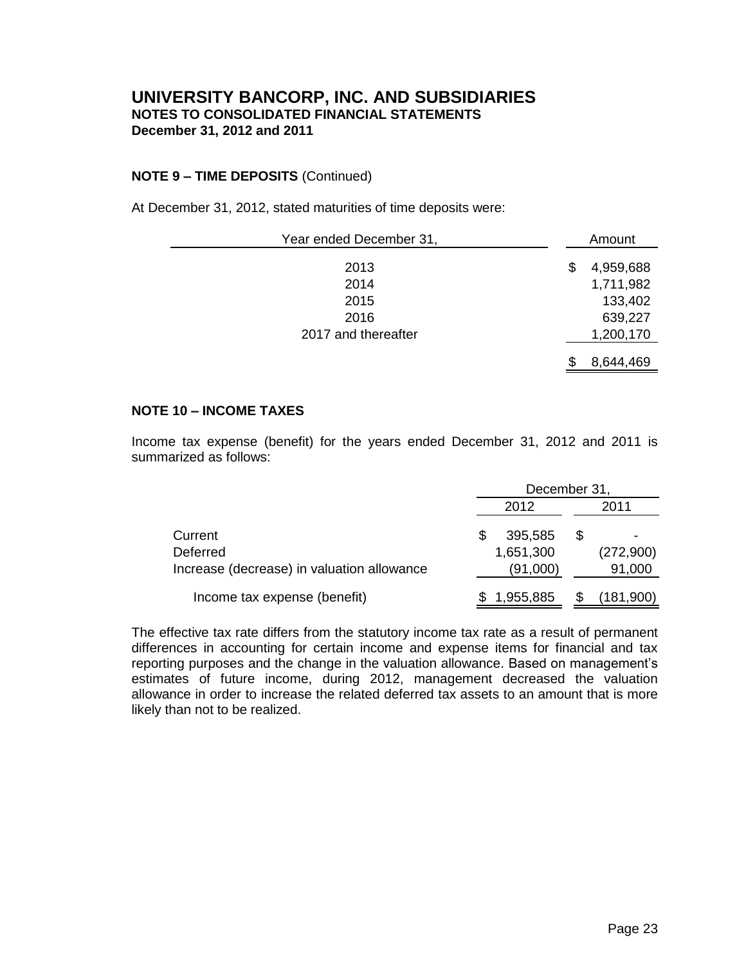### **NOTE 9 – TIME DEPOSITS** (Continued)

At December 31, 2012, stated maturities of time deposits were:

| Year ended December 31, | Amount          |
|-------------------------|-----------------|
| 2013                    | \$<br>4,959,688 |
| 2014                    | 1,711,982       |
| 2015                    | 133,402         |
| 2016                    | 639,227         |
| 2017 and thereafter     | 1,200,170       |
|                         | 8,644,469       |

### **NOTE 10 – INCOME TAXES**

Income tax expense (benefit) for the years ended December 31, 2012 and 2011 is summarized as follows:

|                                            | December 31. |   |           |  |  |
|--------------------------------------------|--------------|---|-----------|--|--|
|                                            | 2012         |   | 2011      |  |  |
| Current                                    | 395,585      | S |           |  |  |
| Deferred                                   | 1,651,300    |   | (272,900) |  |  |
| Increase (decrease) in valuation allowance | (91,000)     |   | 91,000    |  |  |
| Income tax expense (benefit)               | 1,955,885    |   | (181,900) |  |  |

The effective tax rate differs from the statutory income tax rate as a result of permanent differences in accounting for certain income and expense items for financial and tax reporting purposes and the change in the valuation allowance. Based on management's estimates of future income, during 2012, management decreased the valuation allowance in order to increase the related deferred tax assets to an amount that is more likely than not to be realized.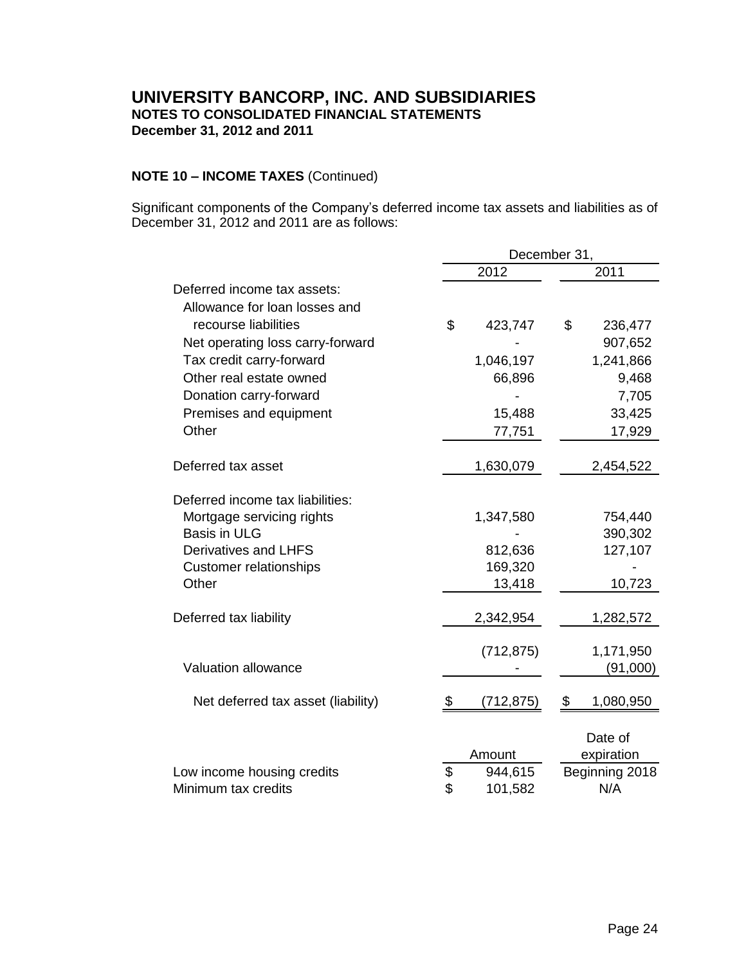### **NOTE 10 – INCOME TAXES** (Continued)

Significant components of the Company's deferred income tax assets and liabilities as of December 31, 2012 and 2011 are as follows:

|                                    | December 31, |            |    |                |  |
|------------------------------------|--------------|------------|----|----------------|--|
|                                    | 2012         |            |    | 2011           |  |
| Deferred income tax assets:        |              |            |    |                |  |
| Allowance for loan losses and      |              |            |    |                |  |
| recourse liabilities               | \$           | 423,747    | \$ | 236,477        |  |
| Net operating loss carry-forward   |              |            |    | 907,652        |  |
| Tax credit carry-forward           |              | 1,046,197  |    | 1,241,866      |  |
| Other real estate owned            |              | 66,896     |    | 9,468          |  |
| Donation carry-forward             |              |            |    | 7,705          |  |
| Premises and equipment             |              | 15,488     |    | 33,425         |  |
| Other                              |              | 77,751     |    | 17,929         |  |
| Deferred tax asset                 |              | 1,630,079  |    | 2,454,522      |  |
| Deferred income tax liabilities:   |              |            |    |                |  |
| Mortgage servicing rights          |              | 1,347,580  |    | 754,440        |  |
| <b>Basis in ULG</b>                |              |            |    | 390,302        |  |
| Derivatives and LHFS               |              | 812,636    |    | 127,107        |  |
| <b>Customer relationships</b>      |              | 169,320    |    |                |  |
| Other                              |              | 13,418     |    | 10,723         |  |
| Deferred tax liability             |              | 2,342,954  |    | 1,282,572      |  |
|                                    |              | (712, 875) |    | 1,171,950      |  |
| <b>Valuation allowance</b>         |              |            |    | (91,000)       |  |
|                                    |              |            |    |                |  |
| Net deferred tax asset (liability) | \$           | (712, 875) | \$ | 1,080,950      |  |
|                                    |              |            |    | Date of        |  |
|                                    |              | Amount     |    | expiration     |  |
| Low income housing credits         | \$           | 944,615    |    | Beginning 2018 |  |
| Minimum tax credits                | \$           | 101,582    |    | N/A            |  |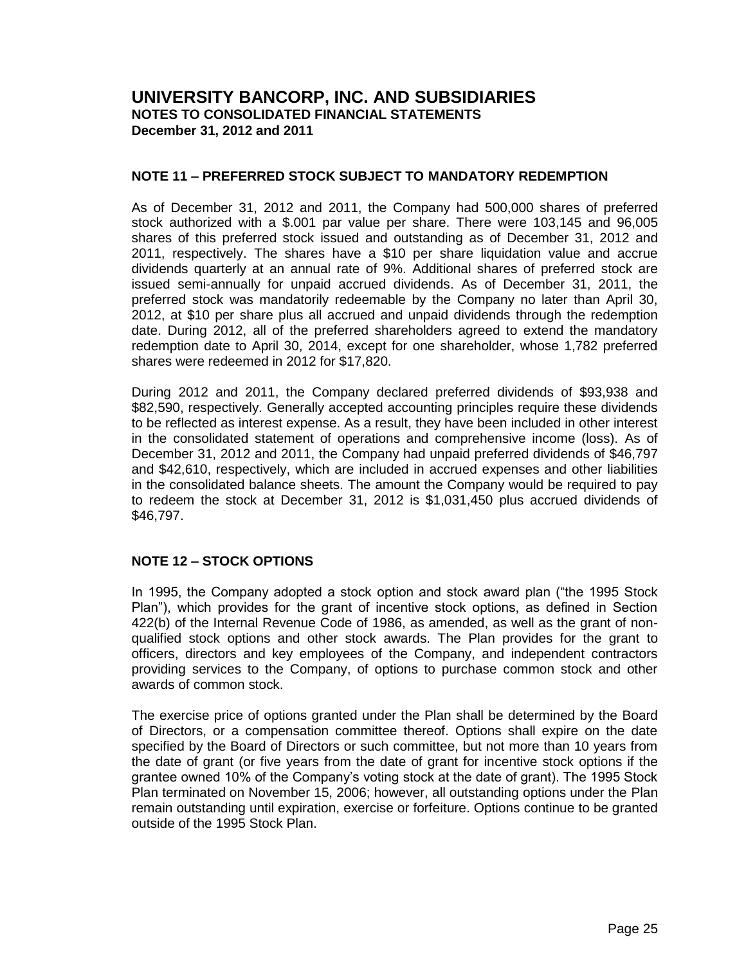### **NOTE 11 – PREFERRED STOCK SUBJECT TO MANDATORY REDEMPTION**

As of December 31, 2012 and 2011, the Company had 500,000 shares of preferred stock authorized with a \$.001 par value per share. There were 103,145 and 96,005 shares of this preferred stock issued and outstanding as of December 31, 2012 and 2011, respectively. The shares have a \$10 per share liquidation value and accrue dividends quarterly at an annual rate of 9%. Additional shares of preferred stock are issued semi-annually for unpaid accrued dividends. As of December 31, 2011, the preferred stock was mandatorily redeemable by the Company no later than April 30, 2012, at \$10 per share plus all accrued and unpaid dividends through the redemption date. During 2012, all of the preferred shareholders agreed to extend the mandatory redemption date to April 30, 2014, except for one shareholder, whose 1,782 preferred shares were redeemed in 2012 for \$17,820.

During 2012 and 2011, the Company declared preferred dividends of \$93,938 and \$82,590, respectively. Generally accepted accounting principles require these dividends to be reflected as interest expense. As a result, they have been included in other interest in the consolidated statement of operations and comprehensive income (loss). As of December 31, 2012 and 2011, the Company had unpaid preferred dividends of \$46,797 and \$42,610, respectively, which are included in accrued expenses and other liabilities in the consolidated balance sheets. The amount the Company would be required to pay to redeem the stock at December 31, 2012 is \$1,031,450 plus accrued dividends of \$46,797.

### **NOTE 12 – STOCK OPTIONS**

In 1995, the Company adopted a stock option and stock award plan ("the 1995 Stock Plan"), which provides for the grant of incentive stock options, as defined in Section 422(b) of the Internal Revenue Code of 1986, as amended, as well as the grant of nonqualified stock options and other stock awards. The Plan provides for the grant to officers, directors and key employees of the Company, and independent contractors providing services to the Company, of options to purchase common stock and other awards of common stock.

The exercise price of options granted under the Plan shall be determined by the Board of Directors, or a compensation committee thereof. Options shall expire on the date specified by the Board of Directors or such committee, but not more than 10 years from the date of grant (or five years from the date of grant for incentive stock options if the grantee owned 10% of the Company's voting stock at the date of grant). The 1995 Stock Plan terminated on November 15, 2006; however, all outstanding options under the Plan remain outstanding until expiration, exercise or forfeiture. Options continue to be granted outside of the 1995 Stock Plan.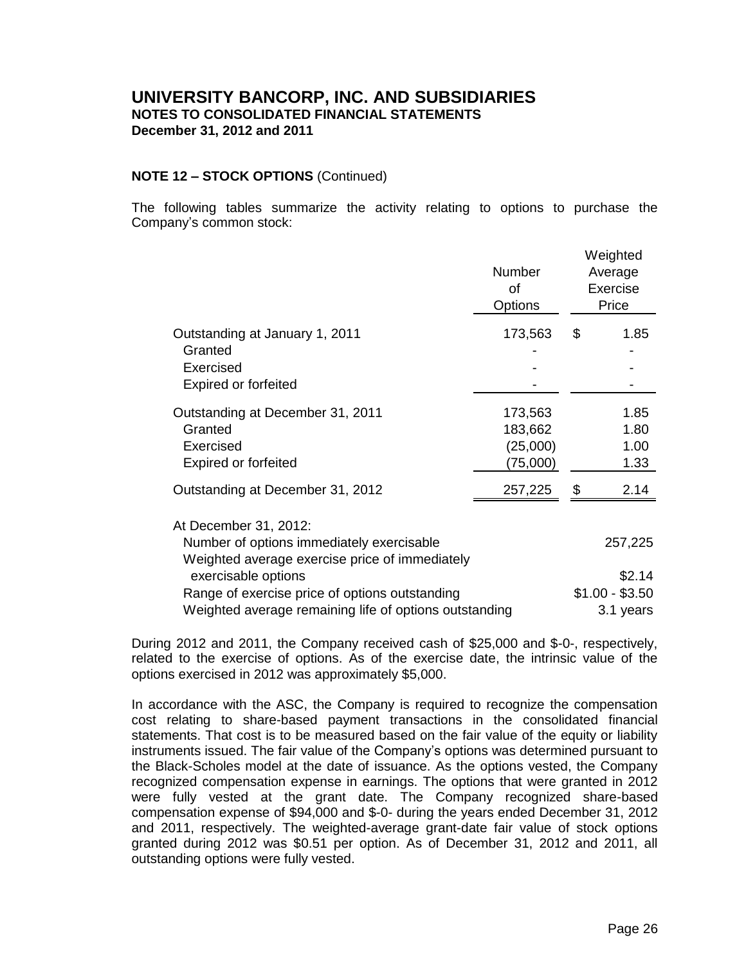### **NOTE 12 – STOCK OPTIONS** (Continued)

The following tables summarize the activity relating to options to purchase the Company's common stock:

|                                                                                                                      | <b>Number</b><br>of<br><b>Options</b>      |    | Weighted<br>Average<br>Exercise<br>Price |
|----------------------------------------------------------------------------------------------------------------------|--------------------------------------------|----|------------------------------------------|
| Outstanding at January 1, 2011<br>Granted<br>Exercised<br><b>Expired or forfeited</b>                                | 173,563                                    | \$ | 1.85                                     |
| Outstanding at December 31, 2011<br>Granted<br>Exercised<br>Expired or forfeited                                     | 173,563<br>183,662<br>(25,000)<br>(75,000) |    | 1.85<br>1.80<br>1.00<br>1.33             |
| Outstanding at December 31, 2012                                                                                     | 257,225                                    | S  | 2.14                                     |
| At December 31, 2012:<br>Number of options immediately exercisable<br>Weighted average exercise price of immediately |                                            |    | 257,225                                  |
| exercisable options                                                                                                  |                                            |    | \$2.14                                   |
| Range of exercise price of options outstanding                                                                       |                                            |    | $$1.00 - $3.50$                          |
| Weighted average remaining life of options outstanding                                                               |                                            |    | 3.1 years                                |

During 2012 and 2011, the Company received cash of \$25,000 and \$-0-, respectively, related to the exercise of options. As of the exercise date, the intrinsic value of the options exercised in 2012 was approximately \$5,000.

In accordance with the ASC, the Company is required to recognize the compensation cost relating to share-based payment transactions in the consolidated financial statements. That cost is to be measured based on the fair value of the equity or liability instruments issued. The fair value of the Company's options was determined pursuant to the Black-Scholes model at the date of issuance. As the options vested, the Company recognized compensation expense in earnings. The options that were granted in 2012 were fully vested at the grant date. The Company recognized share-based compensation expense of \$94,000 and \$-0- during the years ended December 31, 2012 and 2011, respectively. The weighted-average grant-date fair value of stock options granted during 2012 was \$0.51 per option. As of December 31, 2012 and 2011, all outstanding options were fully vested.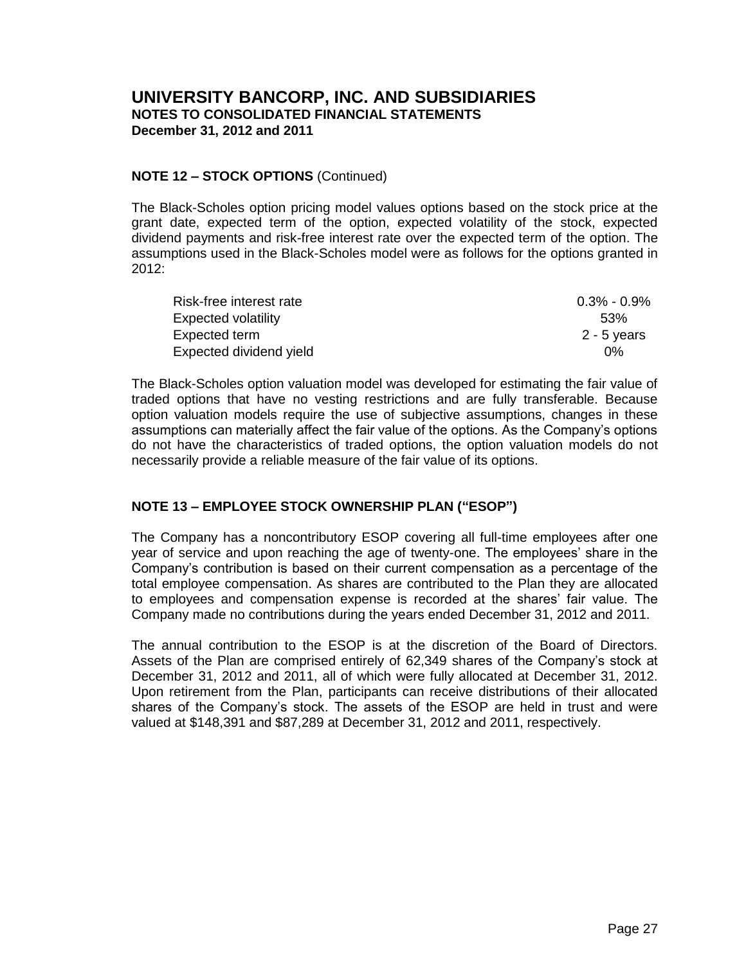### **NOTE 12 – STOCK OPTIONS** (Continued)

The Black-Scholes option pricing model values options based on the stock price at the grant date, expected term of the option, expected volatility of the stock, expected dividend payments and risk-free interest rate over the expected term of the option. The assumptions used in the Black-Scholes model were as follows for the options granted in 2012:

| Risk-free interest rate | $0.3\%$ - $0.9\%$ |
|-------------------------|-------------------|
| Expected volatility     | 53%               |
| Expected term           | $2 - 5$ years     |
| Expected dividend yield | $0\%$             |

The Black-Scholes option valuation model was developed for estimating the fair value of traded options that have no vesting restrictions and are fully transferable. Because option valuation models require the use of subjective assumptions, changes in these assumptions can materially affect the fair value of the options. As the Company's options do not have the characteristics of traded options, the option valuation models do not necessarily provide a reliable measure of the fair value of its options.

### **NOTE 13 – EMPLOYEE STOCK OWNERSHIP PLAN ("ESOP")**

The Company has a noncontributory ESOP covering all full-time employees after one year of service and upon reaching the age of twenty-one. The employees' share in the Company's contribution is based on their current compensation as a percentage of the total employee compensation. As shares are contributed to the Plan they are allocated to employees and compensation expense is recorded at the shares' fair value. The Company made no contributions during the years ended December 31, 2012 and 2011.

The annual contribution to the ESOP is at the discretion of the Board of Directors. Assets of the Plan are comprised entirely of 62,349 shares of the Company's stock at December 31, 2012 and 2011, all of which were fully allocated at December 31, 2012. Upon retirement from the Plan, participants can receive distributions of their allocated shares of the Company's stock. The assets of the ESOP are held in trust and were valued at \$148,391 and \$87,289 at December 31, 2012 and 2011, respectively.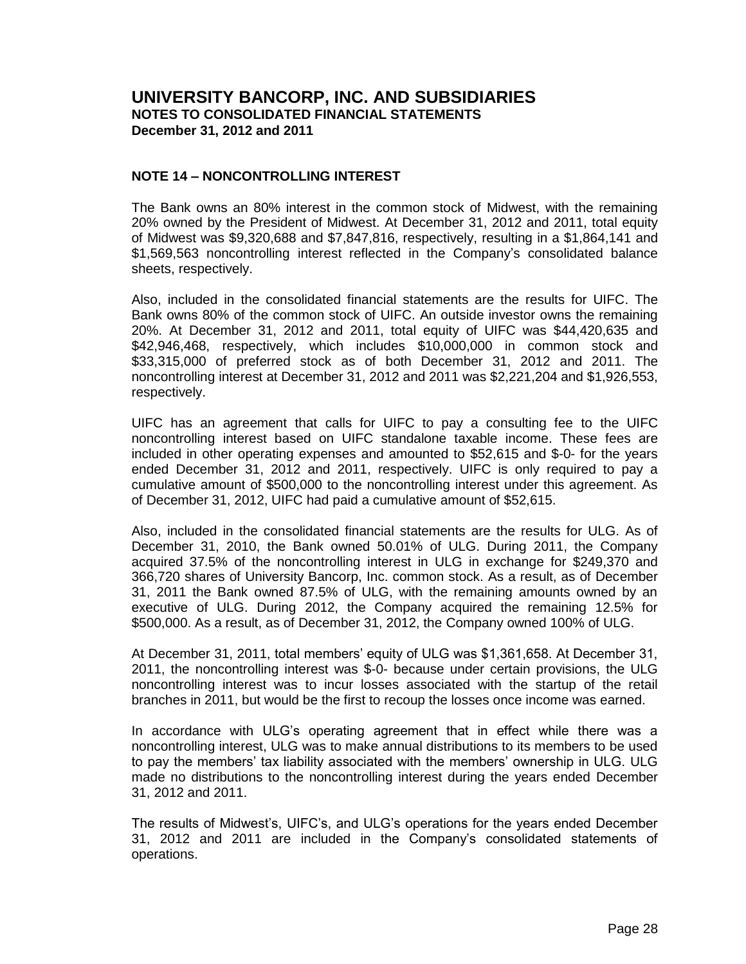### **NOTE 14 – NONCONTROLLING INTEREST**

The Bank owns an 80% interest in the common stock of Midwest, with the remaining 20% owned by the President of Midwest. At December 31, 2012 and 2011, total equity of Midwest was \$9,320,688 and \$7,847,816, respectively, resulting in a \$1,864,141 and \$1,569,563 noncontrolling interest reflected in the Company's consolidated balance sheets, respectively.

Also, included in the consolidated financial statements are the results for UIFC. The Bank owns 80% of the common stock of UIFC. An outside investor owns the remaining 20%. At December 31, 2012 and 2011, total equity of UIFC was \$44,420,635 and \$42,946,468, respectively, which includes \$10,000,000 in common stock and \$33,315,000 of preferred stock as of both December 31, 2012 and 2011. The noncontrolling interest at December 31, 2012 and 2011 was \$2,221,204 and \$1,926,553, respectively.

UIFC has an agreement that calls for UIFC to pay a consulting fee to the UIFC noncontrolling interest based on UIFC standalone taxable income. These fees are included in other operating expenses and amounted to \$52,615 and \$-0- for the years ended December 31, 2012 and 2011, respectively. UIFC is only required to pay a cumulative amount of \$500,000 to the noncontrolling interest under this agreement. As of December 31, 2012, UIFC had paid a cumulative amount of \$52,615.

Also, included in the consolidated financial statements are the results for ULG. As of December 31, 2010, the Bank owned 50.01% of ULG. During 2011, the Company acquired 37.5% of the noncontrolling interest in ULG in exchange for \$249,370 and 366,720 shares of University Bancorp, Inc. common stock. As a result, as of December 31, 2011 the Bank owned 87.5% of ULG, with the remaining amounts owned by an executive of ULG. During 2012, the Company acquired the remaining 12.5% for \$500,000. As a result, as of December 31, 2012, the Company owned 100% of ULG.

At December 31, 2011, total members' equity of ULG was \$1,361,658. At December 31, 2011, the noncontrolling interest was \$-0- because under certain provisions, the ULG noncontrolling interest was to incur losses associated with the startup of the retail branches in 2011, but would be the first to recoup the losses once income was earned.

In accordance with ULG's operating agreement that in effect while there was a noncontrolling interest, ULG was to make annual distributions to its members to be used to pay the members' tax liability associated with the members' ownership in ULG. ULG made no distributions to the noncontrolling interest during the years ended December 31, 2012 and 2011.

The results of Midwest's, UIFC's, and ULG's operations for the years ended December 31, 2012 and 2011 are included in the Company's consolidated statements of operations.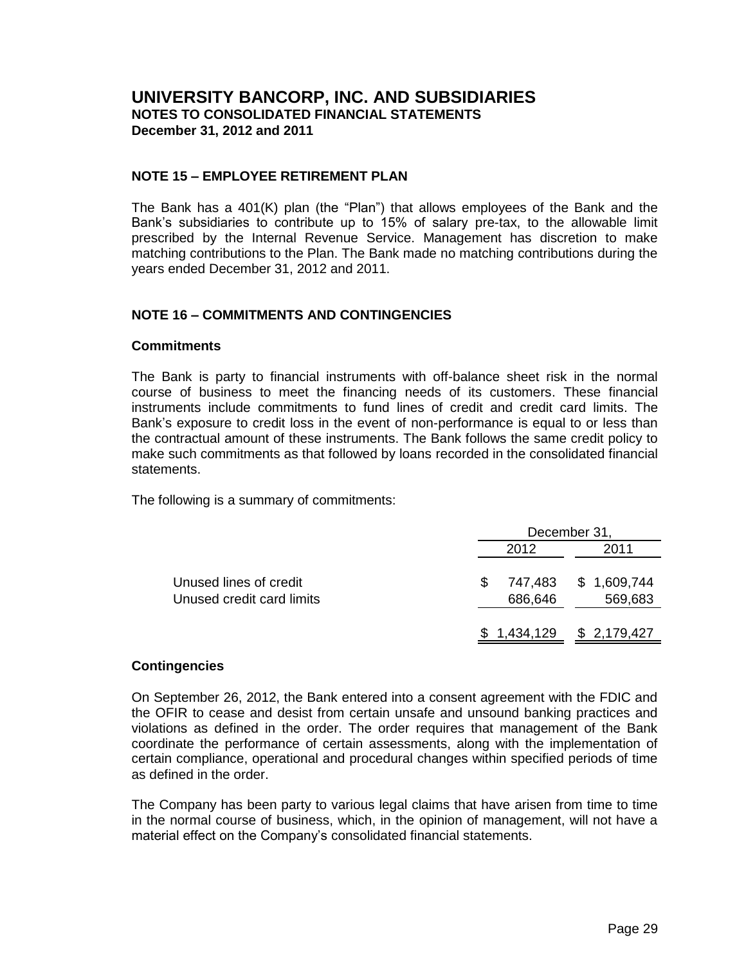### **NOTE 15 – EMPLOYEE RETIREMENT PLAN**

The Bank has a 401(K) plan (the "Plan") that allows employees of the Bank and the Bank's subsidiaries to contribute up to 15% of salary pre-tax, to the allowable limit prescribed by the Internal Revenue Service. Management has discretion to make matching contributions to the Plan. The Bank made no matching contributions during the years ended December 31, 2012 and 2011.

#### **NOTE 16 – COMMITMENTS AND CONTINGENCIES**

#### **Commitments**

The Bank is party to financial instruments with off-balance sheet risk in the normal course of business to meet the financing needs of its customers. These financial instruments include commitments to fund lines of credit and credit card limits. The Bank's exposure to credit loss in the event of non-performance is equal to or less than the contractual amount of these instruments. The Bank follows the same credit policy to make such commitments as that followed by loans recorded in the consolidated financial statements.

The following is a summary of commitments:

|                                                     | December 31, |                    |                        |  |  |
|-----------------------------------------------------|--------------|--------------------|------------------------|--|--|
|                                                     |              | 2011               |                        |  |  |
| Unused lines of credit<br>Unused credit card limits | S            | 747,483<br>686,646 | \$1,609,744<br>569,683 |  |  |
|                                                     |              | 1,434,129          | \$2,179,427            |  |  |

#### **Contingencies**

On September 26, 2012, the Bank entered into a consent agreement with the FDIC and the OFIR to cease and desist from certain unsafe and unsound banking practices and violations as defined in the order. The order requires that management of the Bank coordinate the performance of certain assessments, along with the implementation of certain compliance, operational and procedural changes within specified periods of time as defined in the order.

The Company has been party to various legal claims that have arisen from time to time in the normal course of business, which, in the opinion of management, will not have a material effect on the Company's consolidated financial statements.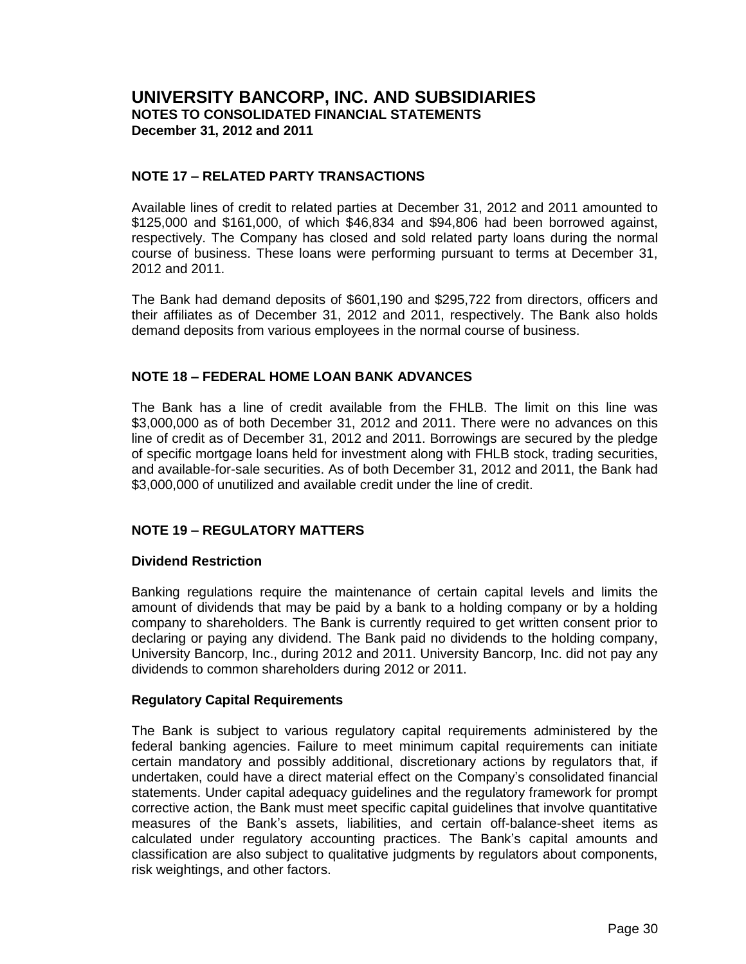### **NOTE 17 – RELATED PARTY TRANSACTIONS**

Available lines of credit to related parties at December 31, 2012 and 2011 amounted to \$125,000 and \$161,000, of which \$46,834 and \$94,806 had been borrowed against, respectively. The Company has closed and sold related party loans during the normal course of business. These loans were performing pursuant to terms at December 31, 2012 and 2011.

The Bank had demand deposits of \$601,190 and \$295,722 from directors, officers and their affiliates as of December 31, 2012 and 2011, respectively. The Bank also holds demand deposits from various employees in the normal course of business.

#### **NOTE 18 – FEDERAL HOME LOAN BANK ADVANCES**

The Bank has a line of credit available from the FHLB. The limit on this line was \$3,000,000 as of both December 31, 2012 and 2011. There were no advances on this line of credit as of December 31, 2012 and 2011. Borrowings are secured by the pledge of specific mortgage loans held for investment along with FHLB stock, trading securities, and available-for-sale securities. As of both December 31, 2012 and 2011, the Bank had \$3,000,000 of unutilized and available credit under the line of credit.

### **NOTE 19 – REGULATORY MATTERS**

#### **Dividend Restriction**

Banking regulations require the maintenance of certain capital levels and limits the amount of dividends that may be paid by a bank to a holding company or by a holding company to shareholders. The Bank is currently required to get written consent prior to declaring or paying any dividend. The Bank paid no dividends to the holding company, University Bancorp, Inc., during 2012 and 2011. University Bancorp, Inc. did not pay any dividends to common shareholders during 2012 or 2011.

#### **Regulatory Capital Requirements**

The Bank is subject to various regulatory capital requirements administered by the federal banking agencies. Failure to meet minimum capital requirements can initiate certain mandatory and possibly additional, discretionary actions by regulators that, if undertaken, could have a direct material effect on the Company's consolidated financial statements. Under capital adequacy guidelines and the regulatory framework for prompt corrective action, the Bank must meet specific capital guidelines that involve quantitative measures of the Bank's assets, liabilities, and certain off-balance-sheet items as calculated under regulatory accounting practices. The Bank's capital amounts and classification are also subject to qualitative judgments by regulators about components, risk weightings, and other factors.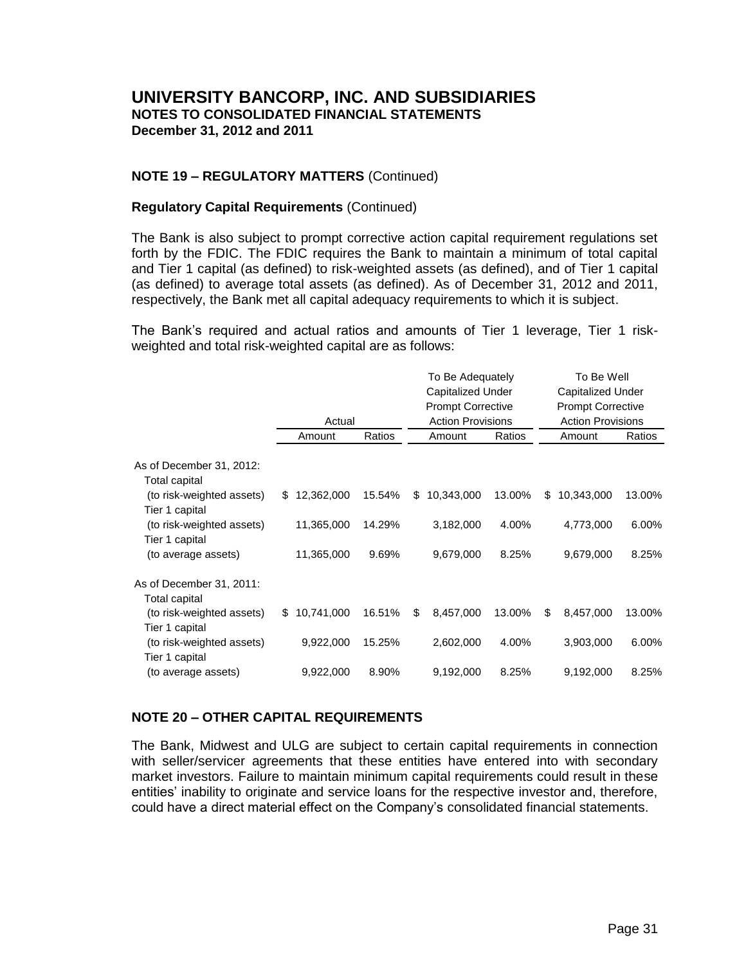### **NOTE 19 – REGULATORY MATTERS** (Continued)

#### **Regulatory Capital Requirements** (Continued)

The Bank is also subject to prompt corrective action capital requirement regulations set forth by the FDIC. The FDIC requires the Bank to maintain a minimum of total capital and Tier 1 capital (as defined) to risk-weighted assets (as defined), and of Tier 1 capital (as defined) to average total assets (as defined). As of December 31, 2012 and 2011, respectively, the Bank met all capital adequacy requirements to which it is subject.

The Bank's required and actual ratios and amounts of Tier 1 leverage, Tier 1 riskweighted and total risk-weighted capital are as follows:

|                           |    |            |        | To Be Adequately |                          | To Be Well |                          |        |
|---------------------------|----|------------|--------|------------------|--------------------------|------------|--------------------------|--------|
|                           |    |            |        |                  | Capitalized Under        |            | <b>Capitalized Under</b> |        |
|                           |    |            |        |                  | <b>Prompt Corrective</b> |            | <b>Prompt Corrective</b> |        |
|                           |    | Actual     |        |                  | <b>Action Provisions</b> |            | <b>Action Provisions</b> |        |
|                           |    | Amount     | Ratios |                  | Amount                   | Ratios     | Amount                   | Ratios |
| As of December 31, 2012:  |    |            |        |                  |                          |            |                          |        |
| Total capital             |    |            |        |                  |                          |            |                          |        |
| (to risk-weighted assets) | S. | 12,362,000 | 15.54% | \$               | 10,343,000               | 13.00%     | \$<br>10,343,000         | 13.00% |
| Tier 1 capital            |    |            |        |                  |                          |            |                          |        |
| (to risk-weighted assets) |    | 11,365,000 | 14.29% |                  | 3,182,000                | 4.00%      | 4,773,000                | 6.00%  |
| Tier 1 capital            |    |            |        |                  |                          |            |                          |        |
| (to average assets)       |    | 11,365,000 | 9.69%  |                  | 9,679,000                | 8.25%      | 9,679,000                | 8.25%  |
| As of December 31, 2011:  |    |            |        |                  |                          |            |                          |        |
| Total capital             |    |            |        |                  |                          |            |                          |        |
| (to risk-weighted assets) | \$ | 10,741,000 | 16.51% | \$               | 8,457,000                | 13.00%     | \$<br>8,457,000          | 13.00% |
| Tier 1 capital            |    |            |        |                  |                          |            |                          |        |
| (to risk-weighted assets) |    | 9,922,000  | 15.25% |                  | 2,602,000                | 4.00%      | 3,903,000                | 6.00%  |
| Tier 1 capital            |    |            |        |                  |                          |            |                          |        |
| (to average assets)       |    | 9,922,000  | 8.90%  |                  | 9,192,000                | 8.25%      | 9,192,000                | 8.25%  |
|                           |    |            |        |                  |                          |            |                          |        |

#### **NOTE 20 – OTHER CAPITAL REQUIREMENTS**

The Bank, Midwest and ULG are subject to certain capital requirements in connection with seller/servicer agreements that these entities have entered into with secondary market investors. Failure to maintain minimum capital requirements could result in these entities' inability to originate and service loans for the respective investor and, therefore, could have a direct material effect on the Company's consolidated financial statements.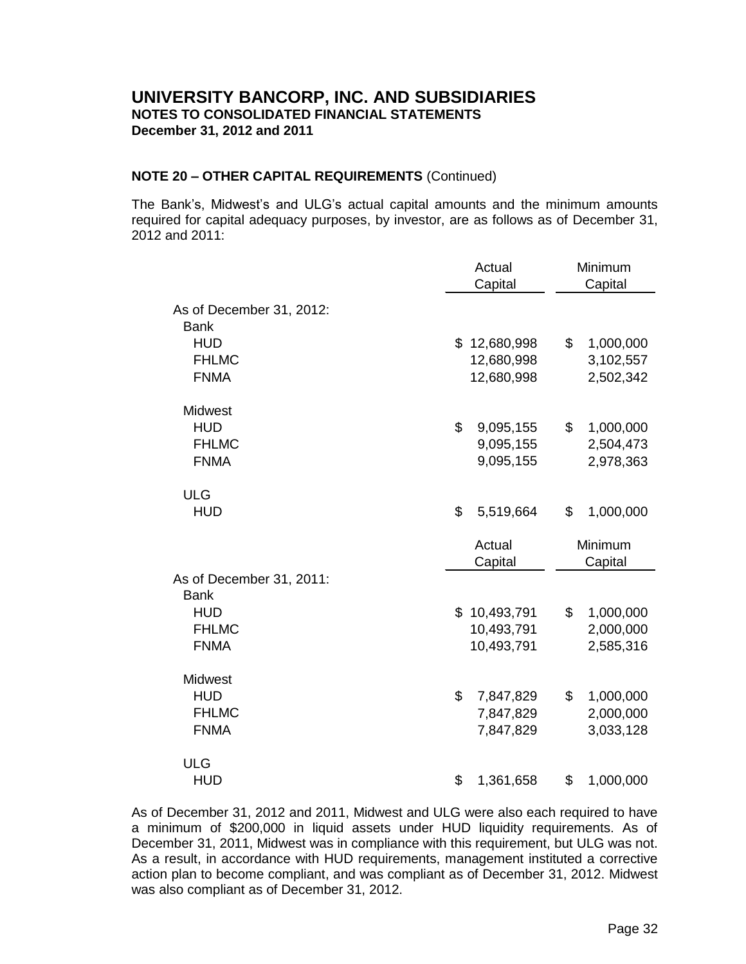#### **NOTE 20 – OTHER CAPITAL REQUIREMENTS** (Continued)

The Bank's, Midwest's and ULG's actual capital amounts and the minimum amounts required for capital adequacy purposes, by investor, are as follows as of December 31, 2012 and 2011:

|                                         | Actual<br>Capital | Minimum<br>Capital |  |
|-----------------------------------------|-------------------|--------------------|--|
|                                         |                   |                    |  |
| As of December 31, 2012:<br><b>Bank</b> |                   |                    |  |
| <b>HUD</b>                              | \$<br>12,680,998  | \$<br>1,000,000    |  |
| <b>FHLMC</b>                            | 12,680,998        | 3,102,557          |  |
| <b>FNMA</b>                             | 12,680,998        | 2,502,342          |  |
| <b>Midwest</b>                          |                   |                    |  |
| <b>HUD</b>                              | \$<br>9,095,155   | \$<br>1,000,000    |  |
| <b>FHLMC</b>                            | 9,095,155         | 2,504,473          |  |
| <b>FNMA</b>                             | 9,095,155         | 2,978,363          |  |
| <b>ULG</b>                              |                   |                    |  |
| <b>HUD</b>                              | \$<br>5,519,664   | \$<br>1,000,000    |  |
|                                         | Actual            | Minimum            |  |
|                                         | Capital           | Capital            |  |
| As of December 31, 2011:<br><b>Bank</b> |                   |                    |  |
| <b>HUD</b>                              | 10,493,791<br>\$  | \$<br>1,000,000    |  |
| <b>FHLMC</b>                            | 10,493,791        | 2,000,000          |  |
| <b>FNMA</b>                             | 10,493,791        | 2,585,316          |  |
| <b>Midwest</b>                          |                   |                    |  |
| <b>HUD</b>                              | \$<br>7,847,829   | \$<br>1,000,000    |  |
| <b>FHLMC</b>                            | 7,847,829         | 2,000,000          |  |
| <b>FNMA</b>                             | 7,847,829         | 3,033,128          |  |
| <b>ULG</b>                              |                   |                    |  |
| <b>HUD</b>                              | \$<br>1,361,658   | \$<br>1,000,000    |  |

As of December 31, 2012 and 2011, Midwest and ULG were also each required to have a minimum of \$200,000 in liquid assets under HUD liquidity requirements. As of December 31, 2011, Midwest was in compliance with this requirement, but ULG was not. As a result, in accordance with HUD requirements, management instituted a corrective action plan to become compliant, and was compliant as of December 31, 2012. Midwest was also compliant as of December 31, 2012.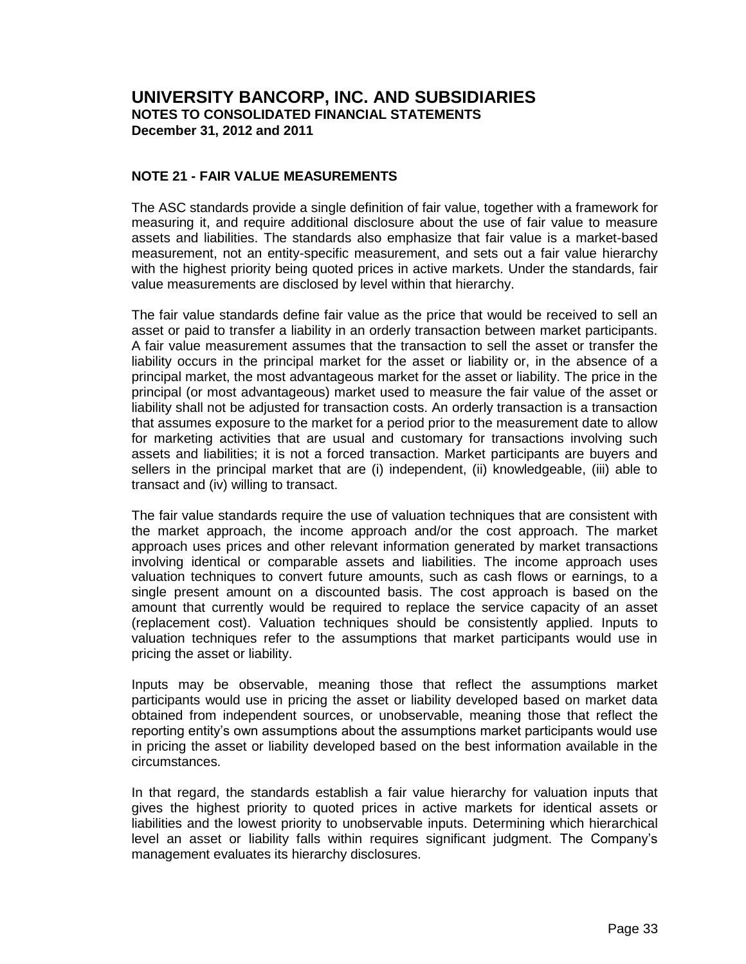### **NOTE 21 - FAIR VALUE MEASUREMENTS**

The ASC standards provide a single definition of fair value, together with a framework for measuring it, and require additional disclosure about the use of fair value to measure assets and liabilities. The standards also emphasize that fair value is a market-based measurement, not an entity-specific measurement, and sets out a fair value hierarchy with the highest priority being quoted prices in active markets. Under the standards, fair value measurements are disclosed by level within that hierarchy.

The fair value standards define fair value as the price that would be received to sell an asset or paid to transfer a liability in an orderly transaction between market participants. A fair value measurement assumes that the transaction to sell the asset or transfer the liability occurs in the principal market for the asset or liability or, in the absence of a principal market, the most advantageous market for the asset or liability. The price in the principal (or most advantageous) market used to measure the fair value of the asset or liability shall not be adjusted for transaction costs. An orderly transaction is a transaction that assumes exposure to the market for a period prior to the measurement date to allow for marketing activities that are usual and customary for transactions involving such assets and liabilities; it is not a forced transaction. Market participants are buyers and sellers in the principal market that are (i) independent, (ii) knowledgeable, (iii) able to transact and (iv) willing to transact.

The fair value standards require the use of valuation techniques that are consistent with the market approach, the income approach and/or the cost approach. The market approach uses prices and other relevant information generated by market transactions involving identical or comparable assets and liabilities. The income approach uses valuation techniques to convert future amounts, such as cash flows or earnings, to a single present amount on a discounted basis. The cost approach is based on the amount that currently would be required to replace the service capacity of an asset (replacement cost). Valuation techniques should be consistently applied. Inputs to valuation techniques refer to the assumptions that market participants would use in pricing the asset or liability.

Inputs may be observable, meaning those that reflect the assumptions market participants would use in pricing the asset or liability developed based on market data obtained from independent sources, or unobservable, meaning those that reflect the reporting entity's own assumptions about the assumptions market participants would use in pricing the asset or liability developed based on the best information available in the circumstances.

In that regard, the standards establish a fair value hierarchy for valuation inputs that gives the highest priority to quoted prices in active markets for identical assets or liabilities and the lowest priority to unobservable inputs. Determining which hierarchical level an asset or liability falls within requires significant judgment. The Company's management evaluates its hierarchy disclosures.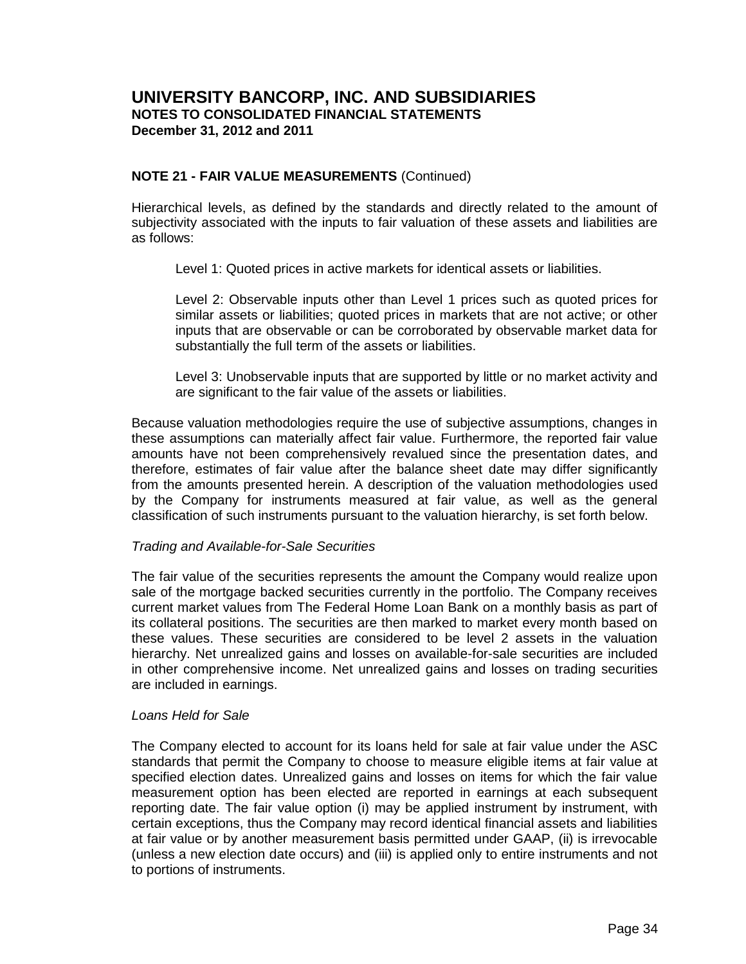### **NOTE 21 - FAIR VALUE MEASUREMENTS** (Continued)

Hierarchical levels, as defined by the standards and directly related to the amount of subjectivity associated with the inputs to fair valuation of these assets and liabilities are as follows:

Level 1: Quoted prices in active markets for identical assets or liabilities.

Level 2: Observable inputs other than Level 1 prices such as quoted prices for similar assets or liabilities; quoted prices in markets that are not active; or other inputs that are observable or can be corroborated by observable market data for substantially the full term of the assets or liabilities.

Level 3: Unobservable inputs that are supported by little or no market activity and are significant to the fair value of the assets or liabilities.

Because valuation methodologies require the use of subjective assumptions, changes in these assumptions can materially affect fair value. Furthermore, the reported fair value amounts have not been comprehensively revalued since the presentation dates, and therefore, estimates of fair value after the balance sheet date may differ significantly from the amounts presented herein. A description of the valuation methodologies used by the Company for instruments measured at fair value, as well as the general classification of such instruments pursuant to the valuation hierarchy, is set forth below.

#### *Trading and Available-for-Sale Securities*

The fair value of the securities represents the amount the Company would realize upon sale of the mortgage backed securities currently in the portfolio. The Company receives current market values from The Federal Home Loan Bank on a monthly basis as part of its collateral positions. The securities are then marked to market every month based on these values. These securities are considered to be level 2 assets in the valuation hierarchy. Net unrealized gains and losses on available-for-sale securities are included in other comprehensive income. Net unrealized gains and losses on trading securities are included in earnings.

#### *Loans Held for Sale*

The Company elected to account for its loans held for sale at fair value under the ASC standards that permit the Company to choose to measure eligible items at fair value at specified election dates. Unrealized gains and losses on items for which the fair value measurement option has been elected are reported in earnings at each subsequent reporting date. The fair value option (i) may be applied instrument by instrument, with certain exceptions, thus the Company may record identical financial assets and liabilities at fair value or by another measurement basis permitted under GAAP, (ii) is irrevocable (unless a new election date occurs) and (iii) is applied only to entire instruments and not to portions of instruments.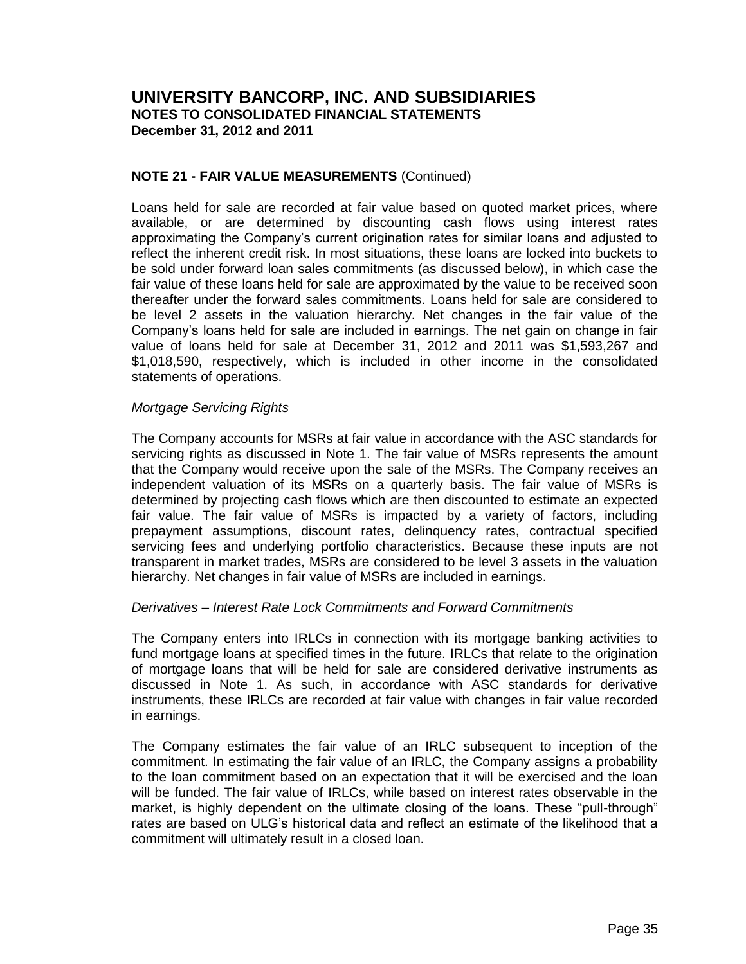### **NOTE 21 - FAIR VALUE MEASUREMENTS** (Continued)

Loans held for sale are recorded at fair value based on quoted market prices, where available, or are determined by discounting cash flows using interest rates approximating the Company's current origination rates for similar loans and adjusted to reflect the inherent credit risk. In most situations, these loans are locked into buckets to be sold under forward loan sales commitments (as discussed below), in which case the fair value of these loans held for sale are approximated by the value to be received soon thereafter under the forward sales commitments. Loans held for sale are considered to be level 2 assets in the valuation hierarchy. Net changes in the fair value of the Company's loans held for sale are included in earnings. The net gain on change in fair value of loans held for sale at December 31, 2012 and 2011 was \$1,593,267 and \$1,018,590, respectively, which is included in other income in the consolidated statements of operations.

#### *Mortgage Servicing Rights*

The Company accounts for MSRs at fair value in accordance with the ASC standards for servicing rights as discussed in Note 1. The fair value of MSRs represents the amount that the Company would receive upon the sale of the MSRs. The Company receives an independent valuation of its MSRs on a quarterly basis. The fair value of MSRs is determined by projecting cash flows which are then discounted to estimate an expected fair value. The fair value of MSRs is impacted by a variety of factors, including prepayment assumptions, discount rates, delinquency rates, contractual specified servicing fees and underlying portfolio characteristics. Because these inputs are not transparent in market trades, MSRs are considered to be level 3 assets in the valuation hierarchy. Net changes in fair value of MSRs are included in earnings.

#### *Derivatives – Interest Rate Lock Commitments and Forward Commitments*

The Company enters into IRLCs in connection with its mortgage banking activities to fund mortgage loans at specified times in the future. IRLCs that relate to the origination of mortgage loans that will be held for sale are considered derivative instruments as discussed in Note 1. As such, in accordance with ASC standards for derivative instruments, these IRLCs are recorded at fair value with changes in fair value recorded in earnings.

The Company estimates the fair value of an IRLC subsequent to inception of the commitment. In estimating the fair value of an IRLC, the Company assigns a probability to the loan commitment based on an expectation that it will be exercised and the loan will be funded. The fair value of IRLCs, while based on interest rates observable in the market, is highly dependent on the ultimate closing of the loans. These "pull-through" rates are based on ULG's historical data and reflect an estimate of the likelihood that a commitment will ultimately result in a closed loan.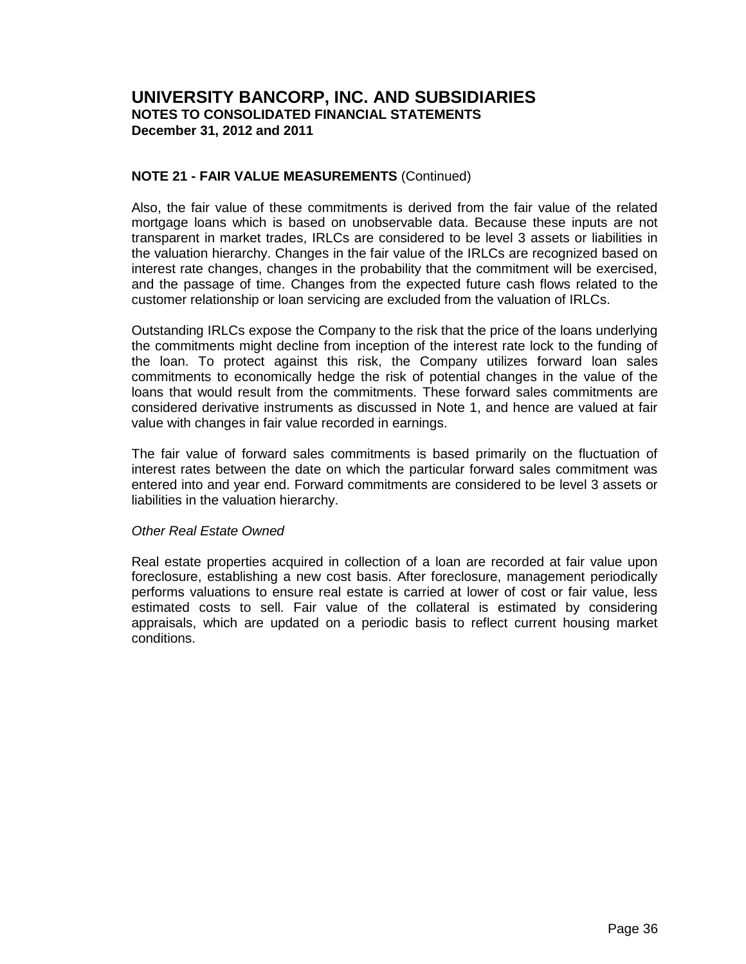### **NOTE 21 - FAIR VALUE MEASUREMENTS** (Continued)

Also, the fair value of these commitments is derived from the fair value of the related mortgage loans which is based on unobservable data. Because these inputs are not transparent in market trades, IRLCs are considered to be level 3 assets or liabilities in the valuation hierarchy. Changes in the fair value of the IRLCs are recognized based on interest rate changes, changes in the probability that the commitment will be exercised, and the passage of time. Changes from the expected future cash flows related to the customer relationship or loan servicing are excluded from the valuation of IRLCs.

Outstanding IRLCs expose the Company to the risk that the price of the loans underlying the commitments might decline from inception of the interest rate lock to the funding of the loan. To protect against this risk, the Company utilizes forward loan sales commitments to economically hedge the risk of potential changes in the value of the loans that would result from the commitments. These forward sales commitments are considered derivative instruments as discussed in Note 1, and hence are valued at fair value with changes in fair value recorded in earnings.

The fair value of forward sales commitments is based primarily on the fluctuation of interest rates between the date on which the particular forward sales commitment was entered into and year end. Forward commitments are considered to be level 3 assets or liabilities in the valuation hierarchy.

#### *Other Real Estate Owned*

Real estate properties acquired in collection of a loan are recorded at fair value upon foreclosure, establishing a new cost basis. After foreclosure, management periodically performs valuations to ensure real estate is carried at lower of cost or fair value, less estimated costs to sell. Fair value of the collateral is estimated by considering appraisals, which are updated on a periodic basis to reflect current housing market conditions.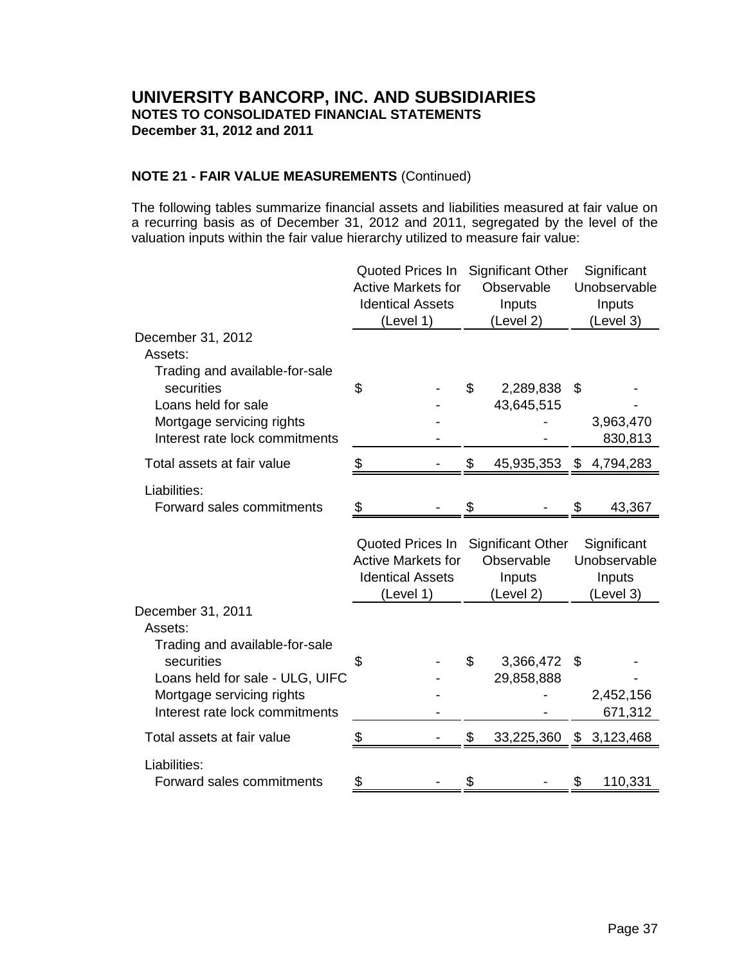### **NOTE 21 - FAIR VALUE MEASUREMENTS** (Continued)

The following tables summarize financial assets and liabilities measured at fair value on a recurring basis as of December 31, 2012 and 2011, segregated by the level of the valuation inputs within the fair value hierarchy utilized to measure fair value:

|                                 | <b>Quoted Prices In</b>   |                           |        | <b>Significant Other</b> | Significant |              |  |
|---------------------------------|---------------------------|---------------------------|--------|--------------------------|-------------|--------------|--|
|                                 | <b>Active Markets for</b> |                           |        | Observable               |             | Unobservable |  |
|                                 |                           | <b>Identical Assets</b>   |        | Inputs                   |             | Inputs       |  |
|                                 |                           | (Level 1)                 |        | (Level 2)                |             | (Level 3)    |  |
| December 31, 2012               |                           |                           |        |                          |             |              |  |
| Assets:                         |                           |                           |        |                          |             |              |  |
| Trading and available-for-sale  |                           |                           |        |                          |             |              |  |
| securities                      | \$                        |                           | \$     | 2,289,838                | \$          |              |  |
| Loans held for sale             |                           |                           |        | 43,645,515               |             |              |  |
| Mortgage servicing rights       |                           |                           |        |                          |             | 3,963,470    |  |
| Interest rate lock commitments  |                           |                           |        |                          |             | 830,813      |  |
| Total assets at fair value      | \$                        |                           | \$     | 45,935,353 \$            |             | 4,794,283    |  |
| Liabilities:                    |                           |                           |        |                          |             |              |  |
| Forward sales commitments       | \$                        |                           | \$     |                          | \$          | 43,367       |  |
|                                 |                           |                           |        |                          |             |              |  |
|                                 |                           | <b>Quoted Prices In</b>   |        | <b>Significant Other</b> |             | Significant  |  |
|                                 |                           | <b>Active Markets for</b> |        | Observable               |             | Unobservable |  |
|                                 |                           | <b>Identical Assets</b>   | Inputs |                          | Inputs      |              |  |
|                                 |                           | (Level 1)                 |        | (Level 2)                |             | (Level 3)    |  |
| December 31, 2011               |                           |                           |        |                          |             |              |  |
| Assets:                         |                           |                           |        |                          |             |              |  |
| Trading and available-for-sale  |                           |                           |        |                          |             |              |  |
| securities                      | \$                        |                           | \$     | 3,366,472                | \$          |              |  |
| Loans held for sale - ULG, UIFC |                           |                           |        | 29,858,888               |             |              |  |
| Mortgage servicing rights       |                           |                           |        |                          |             | 2,452,156    |  |
| Interest rate lock commitments  |                           |                           |        |                          |             | 671,312      |  |
|                                 |                           |                           |        |                          |             |              |  |
| Total assets at fair value      | $\mathfrak{S}$            |                           | \$     | 33,225,360               | \$          | 3,123,468    |  |
| Liabilities:                    |                           |                           |        |                          |             |              |  |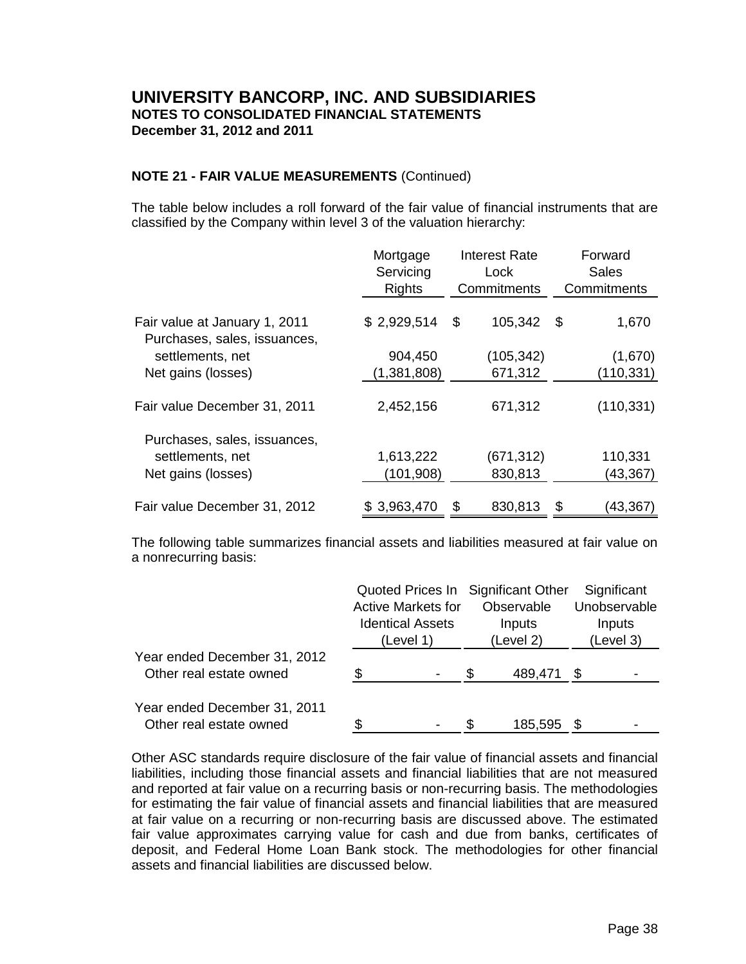### **NOTE 21 - FAIR VALUE MEASUREMENTS** (Continued)

The table below includes a roll forward of the fair value of financial instruments that are classified by the Company within level 3 of the valuation hierarchy:

|                                                               | Mortgage<br>Servicing<br><b>Rights</b> | Interest Rate<br>Lock<br>Commitments | Forward<br><b>Sales</b><br>Commitments |  |  |
|---------------------------------------------------------------|----------------------------------------|--------------------------------------|----------------------------------------|--|--|
| Fair value at January 1, 2011<br>Purchases, sales, issuances, | \$2,929,514                            | \$<br>105,342                        | -\$<br>1,670                           |  |  |
| settlements, net                                              | 904,450                                | (105,342)                            | (1,670)                                |  |  |
| Net gains (losses)                                            | (1,381,808)                            | 671,312                              | (110, 331)                             |  |  |
| Fair value December 31, 2011                                  | 2,452,156                              | 671,312                              | (110, 331)                             |  |  |
| Purchases, sales, issuances,                                  |                                        |                                      |                                        |  |  |
| settlements, net                                              | 1,613,222                              | (671, 312)                           | 110,331                                |  |  |
| Net gains (losses)                                            | (101, 908)                             | 830,813                              | (43, 367)                              |  |  |
| Fair value December 31, 2012                                  | \$3,963,470                            | \$<br>830,813                        | \$<br>(43,367)                         |  |  |

The following table summarizes financial assets and liabilities measured at fair value on a nonrecurring basis:

|                                                         |                                                      |  |                      | Quoted Prices In Significant Other | Significant            |
|---------------------------------------------------------|------------------------------------------------------|--|----------------------|------------------------------------|------------------------|
|                                                         | <b>Active Markets for</b><br><b>Identical Assets</b> |  | Observable<br>Inputs |                                    | Unobservable<br>Inputs |
|                                                         | (Level 1)                                            |  | (Level 2)            |                                    | (Level 3)              |
| Year ended December 31, 2012<br>Other real estate owned |                                                      |  |                      | 489,471 \$                         |                        |
| Year ended December 31, 2011                            |                                                      |  |                      |                                    |                        |
| Other real estate owned                                 |                                                      |  |                      | 185,595                            |                        |

Other ASC standards require disclosure of the fair value of financial assets and financial liabilities, including those financial assets and financial liabilities that are not measured and reported at fair value on a recurring basis or non-recurring basis. The methodologies for estimating the fair value of financial assets and financial liabilities that are measured at fair value on a recurring or non-recurring basis are discussed above. The estimated fair value approximates carrying value for cash and due from banks, certificates of deposit, and Federal Home Loan Bank stock. The methodologies for other financial assets and financial liabilities are discussed below.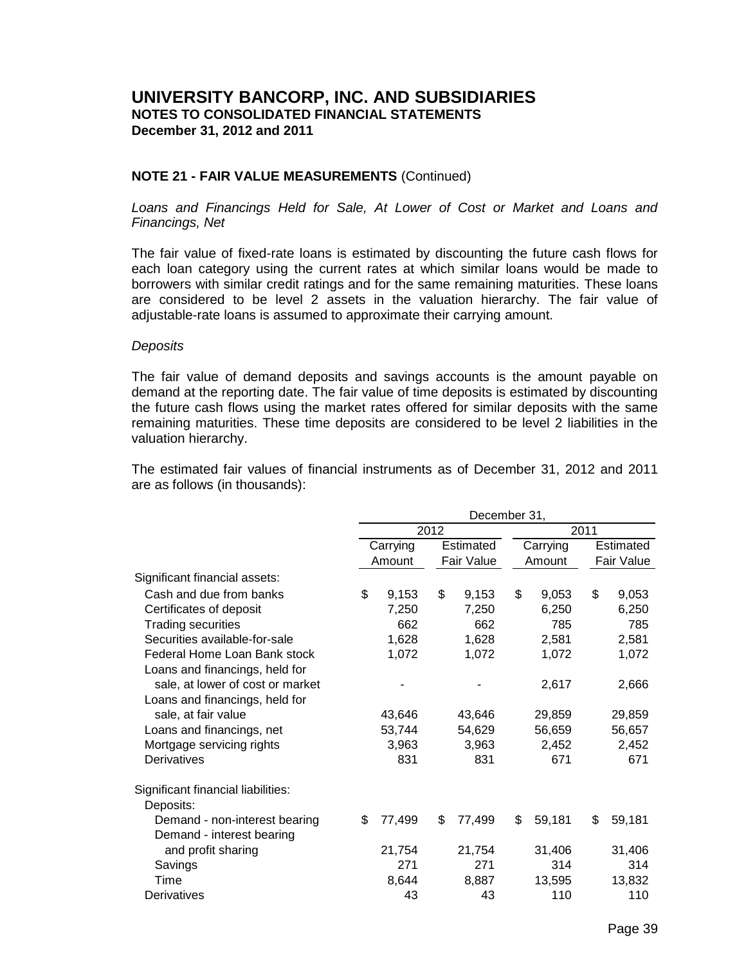#### **NOTE 21 - FAIR VALUE MEASUREMENTS** (Continued)

*Loans and Financings Held for Sale, At Lower of Cost or Market and Loans and Financings, Net*

The fair value of fixed-rate loans is estimated by discounting the future cash flows for each loan category using the current rates at which similar loans would be made to borrowers with similar credit ratings and for the same remaining maturities. These loans are considered to be level 2 assets in the valuation hierarchy. The fair value of adjustable-rate loans is assumed to approximate their carrying amount.

#### *Deposits*

The fair value of demand deposits and savings accounts is the amount payable on demand at the reporting date. The fair value of time deposits is estimated by discounting the future cash flows using the market rates offered for similar deposits with the same remaining maturities. These time deposits are considered to be level 2 liabilities in the valuation hierarchy.

The estimated fair values of financial instruments as of December 31, 2012 and 2011 are as follows (in thousands):

|                                    |          | December 31, |    |                   |      |          |    |            |  |
|------------------------------------|----------|--------------|----|-------------------|------|----------|----|------------|--|
|                                    | 2012     |              |    |                   | 2011 |          |    |            |  |
|                                    | Carrying |              |    | Estimated         |      | Carrying |    | Estimated  |  |
|                                    |          | Amount       |    | <b>Fair Value</b> |      | Amount   |    | Fair Value |  |
| Significant financial assets:      |          |              |    |                   |      |          |    |            |  |
| Cash and due from banks            | \$       | 9,153        | \$ | 9.153             | \$   | 9,053    | \$ | 9,053      |  |
| Certificates of deposit            |          | 7,250        |    | 7,250             |      | 6,250    |    | 6,250      |  |
| <b>Trading securities</b>          |          | 662          |    | 662               |      | 785      |    | 785        |  |
| Securities available-for-sale      |          | 1,628        |    | 1,628             |      | 2,581    |    | 2,581      |  |
| Federal Home Loan Bank stock       |          | 1,072        |    | 1,072             |      | 1,072    |    | 1,072      |  |
| Loans and financings, held for     |          |              |    |                   |      |          |    |            |  |
| sale, at lower of cost or market   |          |              |    |                   |      | 2,617    |    | 2,666      |  |
| Loans and financings, held for     |          |              |    |                   |      |          |    |            |  |
| sale, at fair value                |          | 43,646       |    | 43,646            |      | 29,859   |    | 29,859     |  |
| Loans and financings, net          |          | 53,744       |    | 54,629            |      | 56,659   |    | 56,657     |  |
| Mortgage servicing rights          |          | 3,963        |    | 3,963             |      | 2,452    |    | 2,452      |  |
| Derivatives                        |          | 831          |    | 831               |      | 671      |    | 671        |  |
| Significant financial liabilities: |          |              |    |                   |      |          |    |            |  |
| Deposits:                          |          |              |    |                   |      |          |    |            |  |
| Demand - non-interest bearing      | \$       | 77,499       | \$ | 77,499            | \$   | 59,181   | \$ | 59,181     |  |
| Demand - interest bearing          |          |              |    |                   |      |          |    |            |  |
| and profit sharing                 |          | 21,754       |    | 21,754            |      | 31,406   |    | 31,406     |  |
| Savings                            |          | 271          |    | 271               |      | 314      |    | 314        |  |
| Time                               |          | 8,644        |    | 8,887             |      | 13,595   |    | 13,832     |  |
| Derivatives                        |          | 43           |    | 43                |      | 110      |    | 110        |  |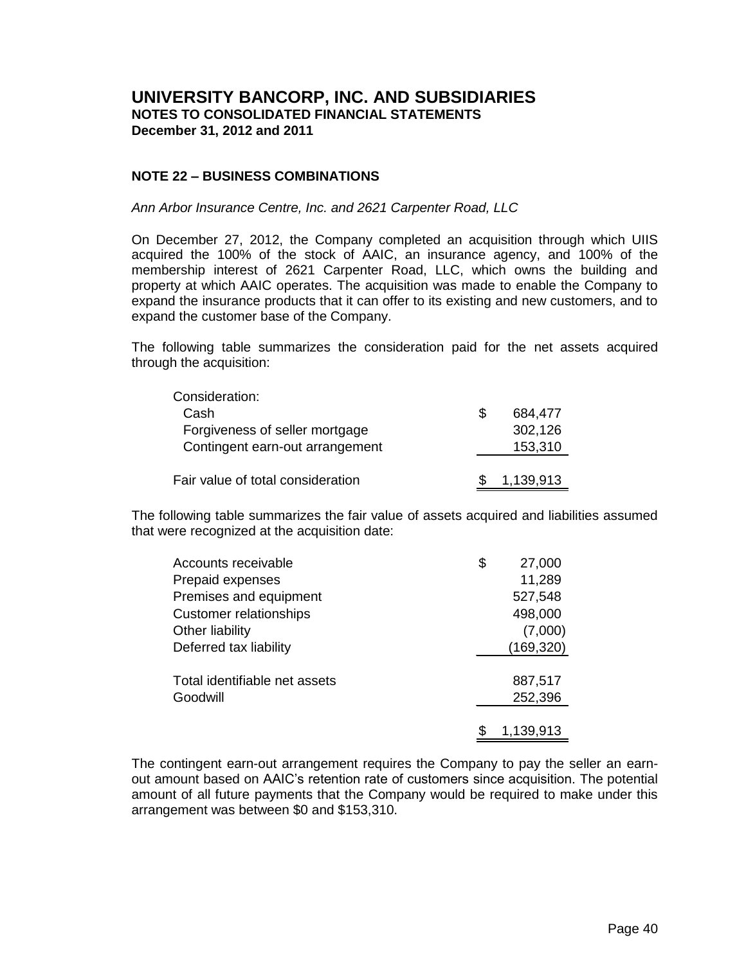### **NOTE 22 – BUSINESS COMBINATIONS**

#### *Ann Arbor Insurance Centre, Inc. and 2621 Carpenter Road, LLC*

On December 27, 2012, the Company completed an acquisition through which UIIS acquired the 100% of the stock of AAIC, an insurance agency, and 100% of the membership interest of 2621 Carpenter Road, LLC, which owns the building and property at which AAIC operates. The acquisition was made to enable the Company to expand the insurance products that it can offer to its existing and new customers, and to expand the customer base of the Company.

The following table summarizes the consideration paid for the net assets acquired through the acquisition:

| Consideration:                    |     |           |
|-----------------------------------|-----|-----------|
| Cash                              | \$. | 684,477   |
| Forgiveness of seller mortgage    |     | 302,126   |
| Contingent earn-out arrangement   |     | 153,310   |
|                                   |     |           |
| Fair value of total consideration |     | 1,139,913 |

The following table summarizes the fair value of assets acquired and liabilities assumed that were recognized at the acquisition date:

| Accounts receivable           | \$<br>27,000 |
|-------------------------------|--------------|
| Prepaid expenses              | 11,289       |
| Premises and equipment        | 527,548      |
| <b>Customer relationships</b> | 498,000      |
| Other liability               | (7,000)      |
| Deferred tax liability        | (169, 320)   |
|                               |              |
| Total identifiable net assets | 887,517      |
| Goodwill                      | 252,396      |
|                               |              |
|                               | 1,139,913    |

The contingent earn-out arrangement requires the Company to pay the seller an earnout amount based on AAIC's retention rate of customers since acquisition. The potential amount of all future payments that the Company would be required to make under this arrangement was between \$0 and \$153,310.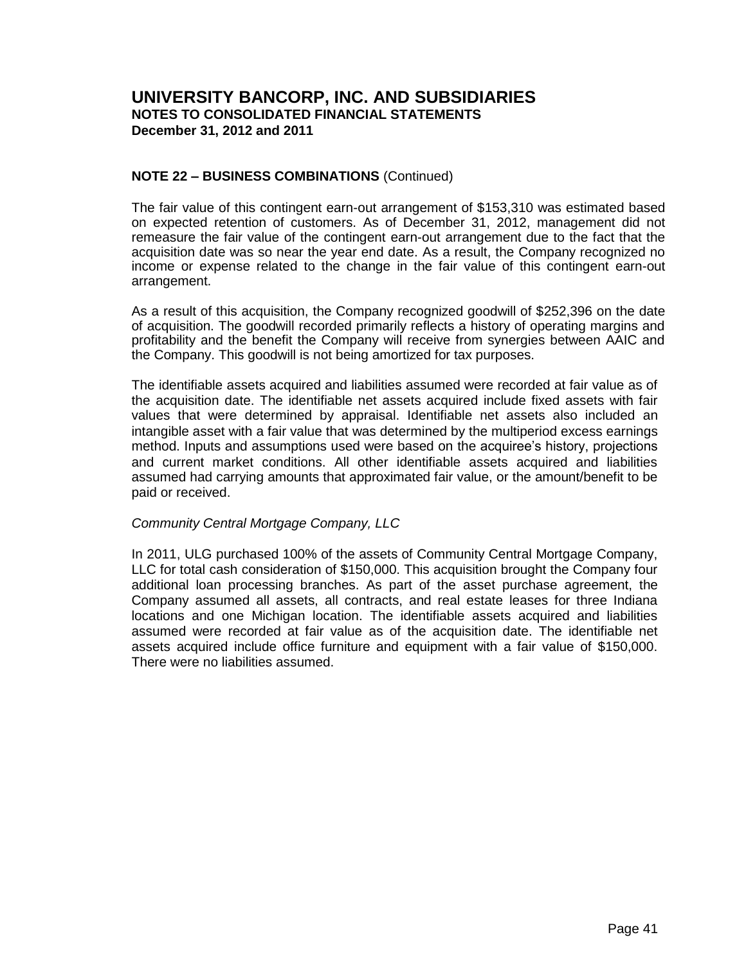### **NOTE 22 – BUSINESS COMBINATIONS** (Continued)

The fair value of this contingent earn-out arrangement of \$153,310 was estimated based on expected retention of customers. As of December 31, 2012, management did not remeasure the fair value of the contingent earn-out arrangement due to the fact that the acquisition date was so near the year end date. As a result, the Company recognized no income or expense related to the change in the fair value of this contingent earn-out arrangement.

As a result of this acquisition, the Company recognized goodwill of \$252,396 on the date of acquisition. The goodwill recorded primarily reflects a history of operating margins and profitability and the benefit the Company will receive from synergies between AAIC and the Company. This goodwill is not being amortized for tax purposes.

The identifiable assets acquired and liabilities assumed were recorded at fair value as of the acquisition date. The identifiable net assets acquired include fixed assets with fair values that were determined by appraisal. Identifiable net assets also included an intangible asset with a fair value that was determined by the multiperiod excess earnings method. Inputs and assumptions used were based on the acquiree's history, projections and current market conditions. All other identifiable assets acquired and liabilities assumed had carrying amounts that approximated fair value, or the amount/benefit to be paid or received.

#### *Community Central Mortgage Company, LLC*

In 2011, ULG purchased 100% of the assets of Community Central Mortgage Company, LLC for total cash consideration of \$150,000. This acquisition brought the Company four additional loan processing branches. As part of the asset purchase agreement, the Company assumed all assets, all contracts, and real estate leases for three Indiana locations and one Michigan location. The identifiable assets acquired and liabilities assumed were recorded at fair value as of the acquisition date. The identifiable net assets acquired include office furniture and equipment with a fair value of \$150,000. There were no liabilities assumed.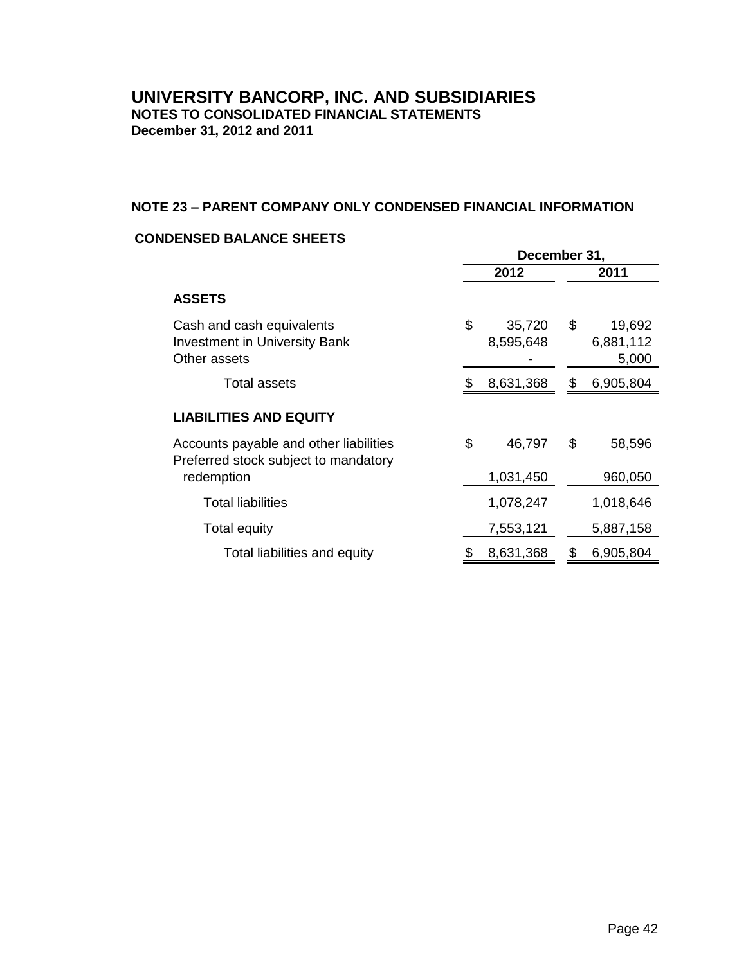### **NOTE 23 – PARENT COMPANY ONLY CONDENSED FINANCIAL INFORMATION**

# **CONDENSED BALANCE SHEETS**

|                                                                                   | December 31,              |                                    |  |  |
|-----------------------------------------------------------------------------------|---------------------------|------------------------------------|--|--|
|                                                                                   | 2012                      | 2011                               |  |  |
| <b>ASSETS</b>                                                                     |                           |                                    |  |  |
| Cash and cash equivalents<br><b>Investment in University Bank</b><br>Other assets | \$<br>35,720<br>8,595,648 | \$<br>19,692<br>6,881,112<br>5,000 |  |  |
| <b>Total assets</b>                                                               | 8,631,368                 | 6,905,804<br>S                     |  |  |
| <b>LIABILITIES AND EQUITY</b>                                                     |                           |                                    |  |  |
| Accounts payable and other liabilities<br>Preferred stock subject to mandatory    | \$<br>46,797              | \$<br>58,596                       |  |  |
| redemption                                                                        | 1,031,450                 | 960,050                            |  |  |
| <b>Total liabilities</b>                                                          | 1,078,247                 | 1,018,646                          |  |  |
| <b>Total equity</b>                                                               | 7,553,121                 | 5,887,158                          |  |  |
| Total liabilities and equity                                                      | 8,631,368                 | 6,905,804                          |  |  |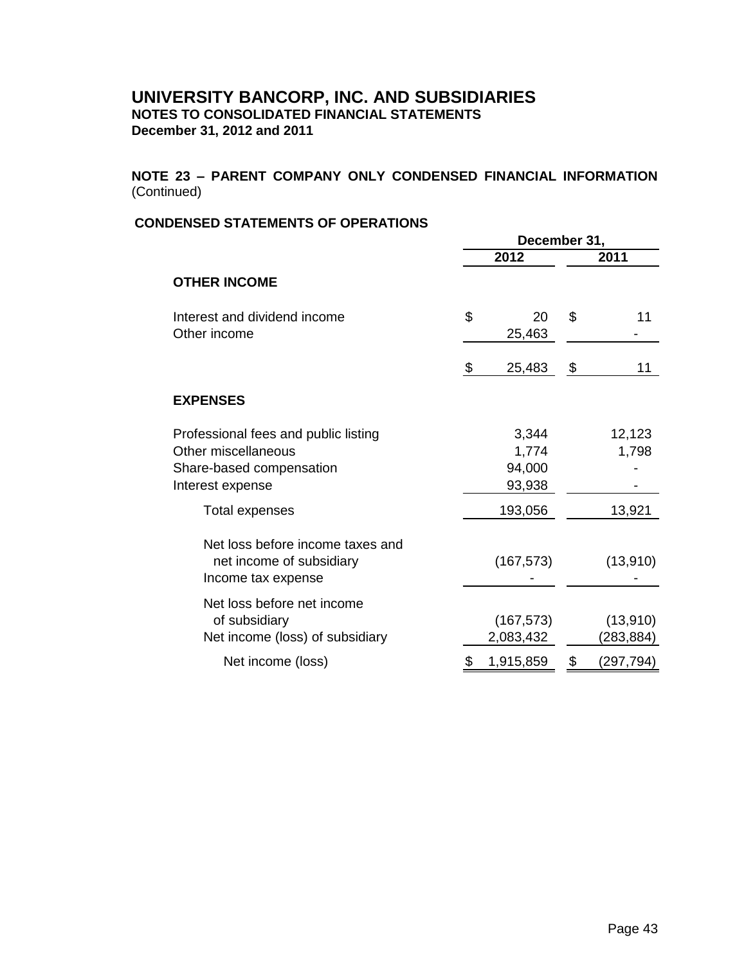**NOTE 23 – PARENT COMPANY ONLY CONDENSED FINANCIAL INFORMATION**  (Continued)

### **CONDENSED STATEMENTS OF OPERATIONS**

|                                                                                                             | December 31,                       |    |                       |  |
|-------------------------------------------------------------------------------------------------------------|------------------------------------|----|-----------------------|--|
|                                                                                                             | 2012                               |    | 2011                  |  |
| <b>OTHER INCOME</b>                                                                                         |                                    |    |                       |  |
| Interest and dividend income<br>Other income                                                                | \$<br>20<br>25,463                 | \$ | 11                    |  |
|                                                                                                             | \$<br>25,483                       | \$ | 11                    |  |
| <b>EXPENSES</b>                                                                                             |                                    |    |                       |  |
| Professional fees and public listing<br>Other miscellaneous<br>Share-based compensation<br>Interest expense | 3,344<br>1,774<br>94,000<br>93,938 |    | 12,123<br>1,798       |  |
| Total expenses                                                                                              | 193,056                            |    | 13,921                |  |
| Net loss before income taxes and<br>net income of subsidiary<br>Income tax expense                          | (167, 573)                         |    | (13,910)              |  |
| Net loss before net income<br>of subsidiary<br>Net income (loss) of subsidiary                              | (167, 573)<br>2,083,432            |    | (13,910)<br>(283,884) |  |
| Net income (loss)                                                                                           | \$<br>1,915,859                    | \$ | (297, 794)            |  |